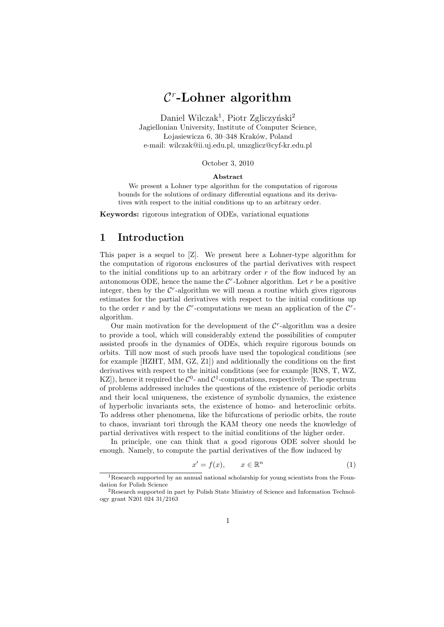# *C r* **-Lohner algorithm**

Daniel Wilczak<sup>1</sup>, Piotr Zgliczyński<sup>2</sup> Jagiellonian University, Institute of Computer Science, Lojasiewicza 6, 30–348 Kraków, Poland e-mail: wilczak@ii.uj.edu.pl, umzglicz@cyf-kr.edu.pl

#### October 3, 2010

#### **Abstract**

We present a Lohner type algorithm for the computation of rigorous bounds for the solutions of ordinary differential equations and its derivatives with respect to the initial conditions up to an arbitrary order.

**Keywords:** rigorous integration of ODEs, variational equations

### **1 Introduction**

This paper is a sequel to [Z]. We present here a Lohner-type algorithm for the computation of rigorous enclosures of the partial derivatives with respect to the initial conditions up to an arbitrary order *r* of the flow induced by an autonomous ODE, hence the name the  $C<sup>r</sup>$ -Lohner algorithm. Let  $r$  be a positive integer, then by the  $C<sup>r</sup>$ -algorithm we will mean a routine which gives rigorous estimates for the partial derivatives with respect to the initial conditions up to the order *r* and by the  $C^r$ -computations we mean an application of the  $C^r$ algorithm.

Our main motivation for the development of the  $C<sup>r</sup>$ -algorithm was a desire to provide a tool, which will considerably extend the possibilities of computer assisted proofs in the dynamics of ODEs, which require rigorous bounds on orbits. Till now most of such proofs have used the topological conditions (see for example [HZHT, MM, GZ, Z1]) and additionally the conditions on the first derivatives with respect to the initial conditions (see for example [RNS, T, WZ, KZ<sup>[2]</sup>), hence it required the  $\mathcal{C}^0$ - and  $\mathcal{C}^1$ -computations, respectively. The spectrum of problems addressed includes the questions of the existence of periodic orbits and their local uniqueness, the existence of symbolic dynamics, the existence of hyperbolic invariants sets, the existence of homo- and heteroclinic orbits. To address other phenomena, like the bifurcations of periodic orbits, the route to chaos, invariant tori through the KAM theory one needs the knowledge of partial derivatives with respect to the initial conditions of the higher order.

In principle, one can think that a good rigorous ODE solver should be enough. Namely, to compute the partial derivatives of the flow induced by

$$
x' = f(x), \qquad x \in \mathbb{R}^n \tag{1}
$$

<sup>&</sup>lt;sup>1</sup>Research supported by an annual national scholarship for young scientists from the Foundation for Polish Science

<sup>2</sup>Research supported in part by Polish State Ministry of Science and Information Technology grant N201 024 31/2163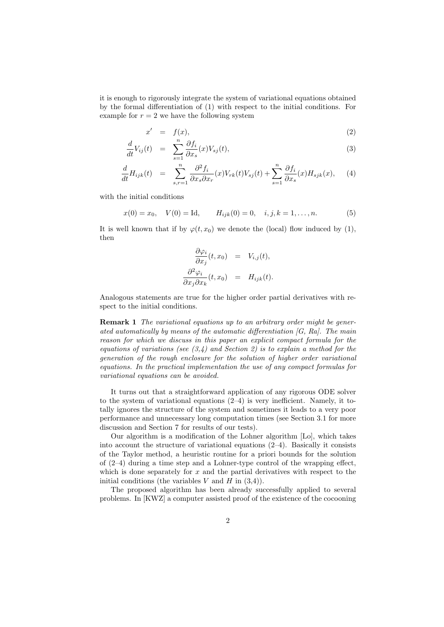it is enough to rigorously integrate the system of variational equations obtained by the formal differentiation of (1) with respect to the initial conditions. For example for  $r = 2$  we have the following system

$$
x' = f(x), \tag{2}
$$

$$
\frac{d}{dt}V_{ij}(t) = \sum_{s=1}^{n} \frac{\partial f_i}{\partial x_s}(x)V_{sj}(t),
$$
\n(3)

$$
\frac{d}{dt}H_{ijk}(t) = \sum_{s,r=1}^{n} \frac{\partial^2 f_i}{\partial x_s \partial x_r}(x) V_{rk}(t) V_{sj}(t) + \sum_{s=1}^{n} \frac{\partial f_i}{\partial x_s}(x) H_{sjk}(x), \quad (4)
$$

with the initial conditions

$$
x(0) = x_0
$$
,  $V(0) = \text{Id}$ ,  $H_{ijk}(0) = 0$ ,  $i, j, k = 1,..., n$ . (5)

It is well known that if by  $\varphi(t, x_0)$  we denote the (local) flow induced by (1), then

$$
\frac{\partial \varphi_i}{\partial x_j}(t, x_0) = V_{i,j}(t),
$$

$$
\frac{\partial^2 \varphi_i}{\partial x_j \partial x_k}(t, x_0) = H_{ijk}(t).
$$

Analogous statements are true for the higher order partial derivatives with respect to the initial conditions.

**Remark 1** *The variational equations up to an arbitrary order might be generated automatically by means of the automatic differentiation [G, Ra]. The main reason for which we discuss in this paper an explicit compact formula for the equations of variations (see (3,4) and Section 2) is to explain a method for the generation of the rough enclosure for the solution of higher order variational equations. In the practical implementation the use of any compact formulas for variational equations can be avoided.*

It turns out that a straightforward application of any rigorous ODE solver to the system of variational equations  $(2-4)$  is very inefficient. Namely, it totally ignores the structure of the system and sometimes it leads to a very poor performance and unnecessary long computation times (see Section 3.1 for more discussion and Section 7 for results of our tests).

Our algorithm is a modification of the Lohner algorithm [Lo], which takes into account the structure of variational equations (2–4). Basically it consists of the Taylor method, a heuristic routine for a priori bounds for the solution of (2–4) during a time step and a Lohner-type control of the wrapping effect, which is done separately for *x* and the partial derivatives with respect to the initial conditions (the variables  $V$  and  $H$  in  $(3,4)$ ).

The proposed algorithm has been already successfully applied to several problems. In [KWZ] a computer assisted proof of the existence of the cocooning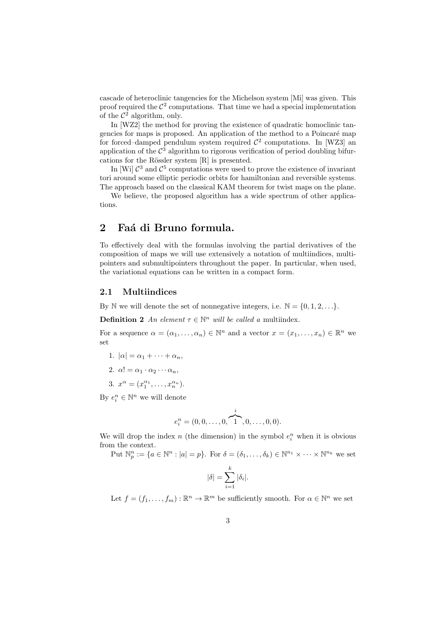cascade of heteroclinic tangencies for the Michelson system [Mi] was given. This proof required the  $\mathcal{C}^2$  computations. That time we had a special implementation of the  $\mathcal{C}^2$  algorithm, only.

In [WZ2] the method for proving the existence of quadratic homoclinic tangencies for maps is proposed. An application of the method to a Poincaré map for forced–damped pendulum system required  $\mathcal{C}^2$  computations. In [WZ3] an application of the  $\mathcal{C}^3$  algorithm to rigorous verification of period doubling bifurcations for the Rössler system  $[R]$  is presented.

In [Wi]  $\mathcal{C}^3$  and  $\mathcal{C}^5$  computations were used to prove the existence of invariant tori around some elliptic periodic orbits for hamiltonian and reversible systems. The approach based on the classical KAM theorem for twist maps on the plane.

We believe, the proposed algorithm has a wide spectrum of other applications.

# 2 Faá di Bruno formula.

To effectively deal with the formulas involving the partial derivatives of the composition of maps we will use extensively a notation of multiindices, multipointers and submultipointers throughout the paper. In particular, when used, the variational equations can be written in a compact form.

#### **2.1 Multiindices**

By N we will denote the set of nonnegative integers, i.e.  $\mathbb{N} = \{0, 1, 2, \ldots\}$ .

**Definition 2** *An element*  $\tau \in \mathbb{N}^n$  *will be called a* multiindex.

For a sequence  $\alpha = (\alpha_1, \ldots, \alpha_n) \in \mathbb{N}^n$  and a vector  $x = (x_1, \ldots, x_n) \in \mathbb{R}^n$  we set

- 1.  $|\alpha| = \alpha_1 + \cdots + \alpha_n$
- 2.  $\alpha! = \alpha_1 \cdot \alpha_2 \cdots \alpha_n$
- 3.  $x^{\alpha} = (x_1^{\alpha_1}, \dots, x_n^{\alpha_n}).$

By  $e_i^n \in \mathbb{N}^n$  we will denote

$$
e_i^n = (0, 0, \dots, 0, \overbrace{1}^i, 0, \dots, 0, 0).
$$

We will drop the index  $n$  (the dimension) in the symbol  $e_i^n$  when it is obvious from the context.

Put  $\mathbb{N}_p^n := \{a \in \mathbb{N}^n : |a| = p\}$ . For  $\delta = (\delta_1, \dots, \delta_k) \in \mathbb{N}^{n_1} \times \dots \times \mathbb{N}^{n_k}$  we set

$$
|\delta| = \sum_{i=1}^k |\delta_i|.
$$

Let  $f = (f_1, \ldots, f_m) : \mathbb{R}^n \to \mathbb{R}^m$  be sufficiently smooth. For  $\alpha \in \mathbb{N}^n$  we set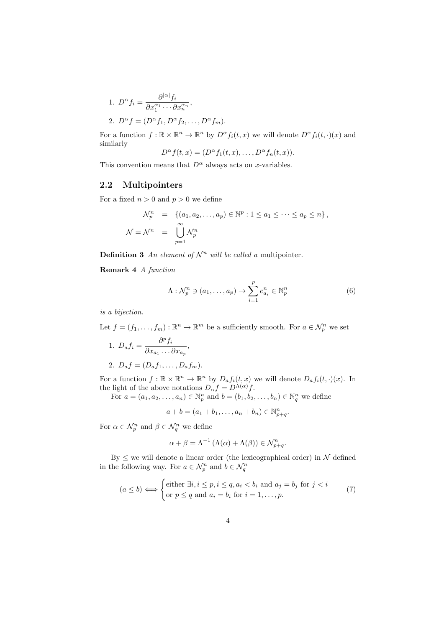1. 
$$
D^{\alpha} f_i = \frac{\partial^{|\alpha|} f_i}{\partial x_1^{\alpha_1} \cdots \partial x_n^{\alpha_n}},
$$
  
2.  $D^{\alpha} f = (D^{\alpha} f_1, D^{\alpha} f_2, \dots, D^{\alpha} f_m).$ 

For a function  $f: \mathbb{R} \times \mathbb{R}^n \to \mathbb{R}^n$  by  $D^{\alpha} f_i(t, x)$  we will denote  $D^{\alpha} f_i(t, \cdot)(x)$  and similarly

$$
D^{\alpha} f(t, x) = (D^{\alpha} f_1(t, x), \dots, D^{\alpha} f_n(t, x)).
$$

This convention means that  $D^{\alpha}$  always acts on *x*-variables.

#### **2.2 Multipointers**

For a fixed  $n > 0$  and  $p > 0$  we define

$$
\mathcal{N}_p^n = \{ (a_1, a_2, \dots, a_p) \in \mathbb{N}^p : 1 \le a_1 \le \dots \le a_p \le n \},
$$
  

$$
\mathcal{N} = \mathcal{N}^n = \bigcup_{p=1}^{\infty} \mathcal{N}_p^n
$$

**Definition 3** An element of  $\mathcal{N}^n$  will be called a multipointer.

**Remark 4** *A function*

$$
\Lambda: \mathcal{N}_p^n \ni (a_1, \dots, a_p) \to \sum_{i=1}^p e_{a_i}^n \in \mathbb{N}_p^n \tag{6}
$$

*is a bijection.*

Let  $f = (f_1, \ldots, f_m) : \mathbb{R}^n \to \mathbb{R}^m$  be a sufficiently smooth. For  $a \in \mathcal{N}_p^n$  we set

1. 
$$
D_a f_i = \frac{\partial^p f_i}{\partial x_{a_1} \dots \partial x_{a_p}},
$$

2.  $D_a f = (D_a f_1, \ldots, D_a f_m).$ 

For a function  $f: \mathbb{R} \times \mathbb{R}^n \to \mathbb{R}^n$  by  $D_a f_i(t, x)$  we will denote  $D_a f_i(t, \cdot)(x)$ . In the light of the above notations  $D_{\alpha} f = D^{\Lambda(\alpha)} f$ .

For  $a = (a_1, a_2, \ldots, a_n) \in \mathbb{N}_p^n$  and  $b = (b_1, b_2, \ldots, b_n) \in \mathbb{N}_q^n$  we define

$$
a + b = (a_1 + b_1, \dots, a_n + b_n) \in \mathbb{N}_{p+q}^n.
$$

For  $\alpha \in \mathcal{N}_p^n$  and  $\beta \in \mathcal{N}_q^n$  we define

$$
\alpha + \beta = \Lambda^{-1} \left( \Lambda(\alpha) + \Lambda(\beta) \right) \in \mathcal{N}_{p+q}^n.
$$

By *≤* we will denote a linear order (the lexicographical order) in *N* defined in the following way. For  $a \in \mathcal{N}_p^n$  and  $b \in \mathcal{N}_q^n$ 

$$
(a \le b) \Longleftrightarrow \begin{cases} \text{either } \exists i, i \le p, i \le q, a_i < b_i \text{ and } a_j = b_j \text{ for } j < i \\ \text{or } p \le q \text{ and } a_i = b_i \text{ for } i = 1, \dots, p. \end{cases} \tag{7}
$$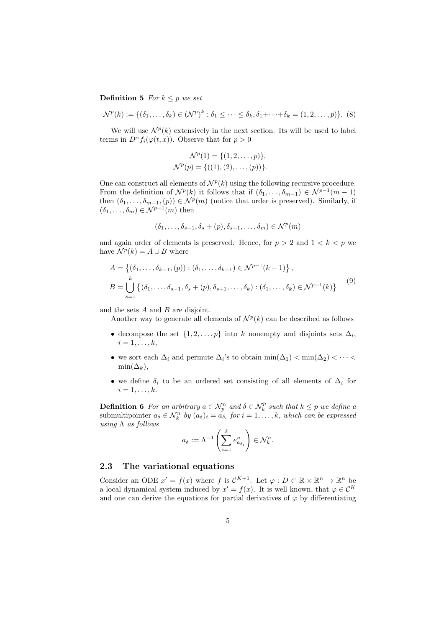**Definition 5** *For*  $k \leq p$  *we set* 

$$
\mathcal{N}^p(k) := \{ (\delta_1, \ldots, \delta_k) \in (\mathcal{N}^p)^k : \delta_1 \leq \cdots \leq \delta_k, \delta_1 + \cdots + \delta_k = (1, 2, \ldots, p) \}. \tag{8}
$$

We will use  $\mathcal{N}^p(k)$  extensively in the next section. Its will be used to label terms in  $D^{\alpha} f_i(\varphi(t, x))$ . Observe that for  $p > 0$ 

$$
\mathcal{N}^p(1) = \{(1, 2, \dots, p)\},\
$$

$$
\mathcal{N}^p(p) = \{((1), (2), \dots, (p))\}.
$$

One can construct all elements of  $\mathcal{N}^p(k)$  using the following recursive procedure. From the definition of  $\mathcal{N}^p(k)$  it follows that if  $(\delta_1, \ldots, \delta_{m-1}) \in \mathcal{N}^{p-1}(m-1)$ then  $(\delta_1, \ldots, \delta_{m-1}, p) \in \mathcal{N}^p(m)$  (notice that order is preserved). Similarly, if  $(\delta_1, \ldots, \delta_m) \in \mathcal{N}^{p-1}(m)$  then

$$
(\delta_1,\ldots,\delta_{s-1},\delta_s+(p),\delta_{s+1},\ldots,\delta_m)\in\mathcal{N}^p(m)
$$

and again order of elements is preserved. Hence, for  $p > 2$  and  $1 < k < p$  we have  $\mathcal{N}^p(k) = A \cup B$  where

$$
A = \{ (\delta_1, \dots, \delta_{k-1}, (p)) : (\delta_1, \dots, \delta_{k-1}) \in \mathcal{N}^{p-1}(k-1) \},
$$
  
\n
$$
B = \bigcup_{s=1}^k \{ (\delta_1, \dots, \delta_{s-1}, \delta_s + (p), \delta_{s+1}, \dots, \delta_k) : (\delta_1, \dots, \delta_k) \in \mathcal{N}^{p-1}(k) \}
$$
\n
$$
(9)
$$

and the sets *A* and *B* are disjoint.

Another way to generate all elements of  $\mathcal{N}^p(k)$  can be described as follows

- decompose the set  $\{1, 2, \ldots, p\}$  into *k* nonempty and disjoints sets  $\Delta_i$ ,  $i=1,\ldots,k,$
- we sort each  $\Delta_i$  and permute  $\Delta_i$ 's to obtain  $\min(\Delta_1) < \min(\Delta_2) < \cdots <$  $min(\Delta_k)$ ,
- we define  $\delta_i$  to be an ordered set consisting of all elements of  $\Delta_i$  for  $i = 1, \ldots, k.$

**Definition 6** For an arbitrary  $a \in \mathcal{N}_p^n$  and  $\delta \in \mathcal{N}_k^p$  such that  $k \leq p$  we define a submultipointer  $a_{\delta} \in \mathcal{N}_k^n$  by  $(a_{\delta})_i = a_{\delta_i}$  for  $i = 1, \ldots, k$ , which can be expressed *using* Λ *as follows*

$$
a_{\delta} := \Lambda^{-1} \left( \sum_{i=1}^{k} e_{a_{\delta_i}}^n \right) \in \mathcal{N}_k^n.
$$

#### **2.3 The variational equations**

Consider an ODE  $x' = f(x)$  where  $f$  is  $C^{K+1}$ . Let  $\varphi : D \subset \mathbb{R} \times \mathbb{R}^n \to \mathbb{R}^n$  be a local dynamical system induced by  $x' = f(x)$ . It is well known, that  $\varphi \in \mathcal{C}^K$ and one can derive the equations for partial derivatives of  $\varphi$  by differentiating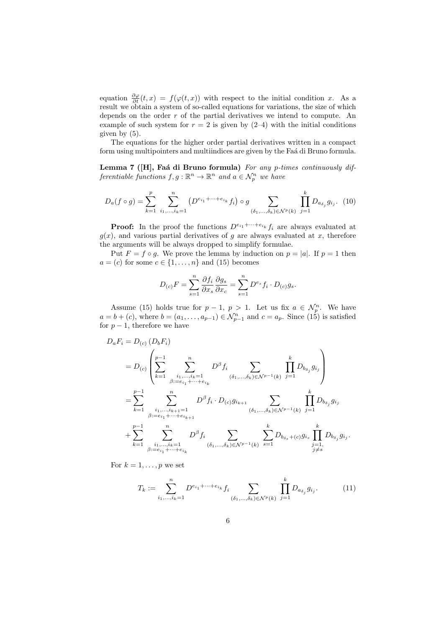equation  $\frac{\partial \varphi}{\partial t}(t, x) = f(\varphi(t, x))$  with respect to the initial condition *x*. As a result we obtain a system of so-called equations for variations, the size of which depends on the order *r* of the partial derivatives we intend to compute. An example of such system for  $r = 2$  is given by  $(2-4)$  with the initial conditions given by (5).

The equations for the higher order partial derivatives written in a compact form using multipointers and multiindices are given by the Fa $\acute{a}$  di Bruno formula.

Lemma 7 ([H], Faá di Bruno formula) For any p-times continuously dif*ferentiable functions*  $f, g : \mathbb{R}^n \to \mathbb{R}^n$  *and*  $a \in \mathcal{N}_p^n$  *we have* 

$$
D_a(f \circ g) = \sum_{k=1}^p \sum_{i_1, \dots, i_k=1}^n (D^{e_{i_1} + \dots + e_{i_k}} f_i) \circ g \sum_{(\delta_1, \dots, \delta_k) \in \mathcal{N}^p(k)} \prod_{j=1}^k D_{a_{\delta_j}} g_{i_j}.
$$
 (10)

**Proof:** In the proof the functions  $D^{e_{i_1}+\cdots+e_{i_k}}f_i$  are always evaluated at  $q(x)$ , and various partial derivatives of *q* are always evaluated at *x*, therefore the arguments will be always dropped to simplify formulae.

Put  $F = f \circ g$ . We prove the lemma by induction on  $p = |a|$ . If  $p = 1$  then  $a = (c)$  for some  $c \in \{1, \ldots, n\}$  and (15) becomes

$$
D_{(c)}F = \sum_{s=1}^{n} \frac{\partial f_i}{\partial x_s} \frac{\partial g_s}{\partial x_c} = \sum_{s=1}^{n} D^{e_s} f_i \cdot D_{(c)} g_s.
$$

Assume (15) holds true for  $p-1$ ,  $p>1$ . Let us fix  $a \in \mathcal{N}_p^n$ . We have  $a = b + (c)$ , where  $b = (a_1, \ldots, a_{p-1}) \in \mathcal{N}_{p-1}^n$  and  $c = a_p$ . Since (15) is satisfied for  $p-1$ , therefore we have

$$
D_{a}F_{i} = D_{(c)} (D_{b}F_{i})
$$
  
\n
$$
= D_{(c)} \left( \sum_{k=1}^{p-1} \sum_{\substack{i_{1},...,i_{k}=1 \ j:=e_{i_{1}}+...+e_{i_{k}}}}^{n} D^{\beta} f_{i} \sum_{(\delta_{1},...,\delta_{k}) \in \mathcal{N}^{p-1}(k)} \prod_{j=1}^{k} D_{b_{\delta_{j}}} g_{i_{j}} \right)
$$
  
\n
$$
= \sum_{k=1}^{p-1} \sum_{\substack{i_{1},...,i_{k+1}=1 \ j:=e_{i_{1}}+...+e_{i_{k+1}}} D^{\beta} f_{i} \cdot D_{(c)} g_{i_{k+1}} \sum_{(\delta_{1},...,\delta_{k}) \in \mathcal{N}^{p-1}(k)} \prod_{j=1}^{k} D_{b_{\delta_{j}}} g_{i_{j}}
$$
  
\n
$$
+ \sum_{k=1}^{p-1} \sum_{\substack{i_{1},...,i_{k}=1 \ j:=e_{i_{1}}+...+e_{i_{k}}} D^{\beta} f_{i} \sum_{(\delta_{1},...,\delta_{k}) \in \mathcal{N}^{p-1}(k)} \sum_{s=1}^{k} D_{b_{\delta_{s}}} + c_{j} g_{i_{s}} \prod_{\substack{j=1, \ j \neq s}}^{k} D_{b_{\delta_{j}}} g_{i_{j}}.
$$

For  $k = 1, \ldots, p$  we set

$$
T_k := \sum_{i_1,\dots,i_k=1}^n D^{e_{i_1}+\dots+e_{i_k}} f_i \sum_{(\delta_1,\dots,\delta_k)\in \mathcal{N}^p(k)} \prod_{j=1}^k D_{a_{\delta_j}} g_{i_j}.
$$
 (11)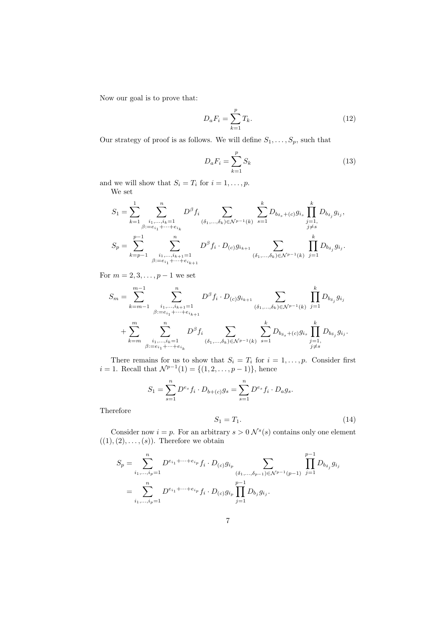Now our goal is to prove that:

$$
D_a F_i = \sum_{k=1}^p T_k.
$$
 (12)

Our strategy of proof is as follows. We will define  $S_1, \ldots, S_p$ , such that

$$
D_a F_i = \sum_{k=1}^p S_k \tag{13}
$$

and we will show that  $S_i = T_i$  for  $i = 1, \ldots, p$ . We set

$$
\begin{split} S_1 &= \sum_{k=1}^1 \sum_{\substack{i_1,\ldots, i_k=1\\ \beta:=e_{i_1}+\cdots+e_{i_k}}}^{n} D^\beta f_i \sum_{(\delta_1,\ldots,\delta_k)\in \mathcal{N}^{p-1}(k)} \sum_{s=1}^k D_{b_{\delta_s}+(c)} g_{i_s} \prod_{\substack{j=1,\\ j\neq s}}^k D_{b_{\delta_j}} g_{i_j},\\ S_p &= \sum_{k=p-1}^{p-1} \sum_{\substack{i_1,\ldots, i_{k+1}=1\\ \beta:=e_{i_1}+\cdots+e_{i_{k+1}}}} D^\beta f_i \cdot D_{(c)} g_{i_{k+1}} \sum_{(\delta_1,\ldots,\delta_k)\in \mathcal{N}^{p-1}(k)} \prod_{j=1}^k D_{b_{\delta_j}} g_{i_j}. \end{split}
$$

For  $m = 2, 3, \ldots, p - 1$  we set

$$
S_m = \sum_{k=m-1}^{m-1} \sum_{\substack{i_1,\dots,i_{k+1}=1 \ \beta:=e_{i_1}+\dots+e_{i_{k+1}}}}^{n} D^{\beta} f_i \cdot D_{(c)} g_{i_{k+1}} \sum_{(\delta_1,\dots,\delta_k) \in \mathcal{N}^{p-1}(k)} \prod_{j=1}^k D_{b_{\delta_j}} g_{i_j}
$$
  
+ 
$$
\sum_{k=m}^{m} \sum_{\substack{i_1,\dots,i_k=1 \ \beta:=e_{i_1}+\dots+e_{i_k}}} D^{\beta} f_i \sum_{(\delta_1,\dots,\delta_k) \in \mathcal{N}^{p-1}(k)} \sum_{s=1}^k D_{b_{\delta_s} + (c)} g_{i_s} \prod_{\substack{j=1, \ j \neq s}}^k D_{b_{\delta_j}} g_{i_j}.
$$

There remains for us to show that  $S_i = T_i$  for  $i = 1, \ldots, p$ . Consider first  $i = 1$ . Recall that  $\mathcal{N}^{p-1}(1) = \{(1, 2, \ldots, p-1)\}\)$ , hence

$$
S_1 = \sum_{s=1}^n D^{e_s} f_i \cdot D_{b+(c)} g_s = \sum_{s=1}^n D^{e_s} f_i \cdot D_a g_s.
$$

Therefore

$$
S_1 = T_1. \tag{14}
$$

Consider now  $i = p$ . For an arbitrary  $s > 0$   $\mathcal{N}^s(s)$  contains only one element  $((1), (2), \ldots, (s))$ . Therefore we obtain

$$
S_p = \sum_{i_1, ..., i_p=1}^n D^{e_{i_1} + \dots + e_{i_p}} f_i \cdot D_{(c)} g_{i_p}
$$
  
= 
$$
\sum_{i_1, ..., i_p=1}^n D^{e_{i_1} + \dots + e_{i_p}} f_i \cdot D_{(c)} g_{i_p} \prod_{j=1}^{p-1} D_{b_j} g_{i_j}.
$$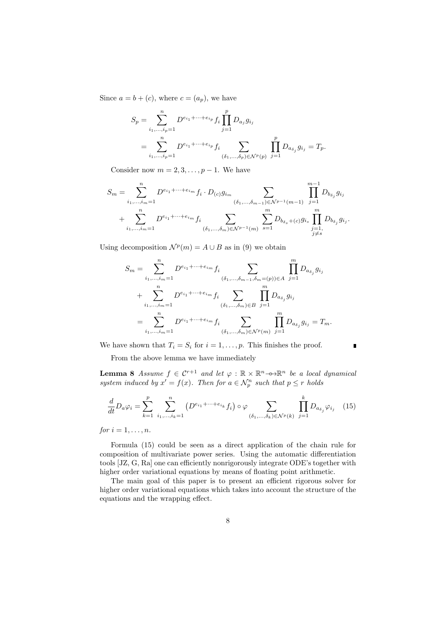Since  $a = b + (c)$ , where  $c = (a_p)$ , we have

$$
S_p = \sum_{i_1, ..., i_p=1}^n D^{e_{i_1} + \dots + e_{i_p}} f_i \prod_{j=1}^p D_{a_j} g_{i_j}
$$
  
= 
$$
\sum_{i_1, ..., i_p=1}^n D^{e_{i_1} + \dots + e_{i_p}} f_i \sum_{(\delta_1, ..., \delta_p) \in \mathcal{N}^p(p)} \prod_{j=1}^p D_{a_{\delta_j}} g_{i_j} = T_p.
$$

Consider now  $m = 2, 3, \ldots, p-1$ . We have

$$
S_m = \sum_{i_1, \dots, i_m = 1}^n D^{e_{i_1} + \dots + e_{i_m}} f_i \cdot D_{(c)} g_{i_m} \sum_{\substack{(\delta_1, \dots, \delta_{m-1}) \in \mathcal{N}^{p-1}(m-1) \\ \vdots \\ \delta_{i_1, \dots, i_m} = 1}} \prod_{j=1}^{m-1} D_{b_{\delta_j}} g_{i_j} + \sum_{i_1, \dots, i_m = 1}^n D^{e_{i_1} + \dots + e_{i_m}} f_i \sum_{\substack{(\delta_1, \dots, \delta_m) \in \mathcal{N}^{p-1}(m) \\ \vdots \\ \delta_j = 1}} \sum_{s=1}^m D_{b_{\delta_s} + (c)} g_{i_s} \prod_{\substack{j=1, \\ j \neq s}}^m D_{b_{\delta_j}} g_{i_j}.
$$

Using decomposition  $\mathcal{N}^p(m) = A \cup B$  as in (9) we obtain

$$
S_m = \sum_{i_1, ..., i_m=1}^n D^{e_{i_1} + \dots + e_{i_m}} f_i \sum_{(\delta_1, ..., \delta_{m-1}, \delta_m = (p)) \in A} \prod_{j=1}^m D_{a_{\delta_j}} g_{i_j}
$$
  
+ 
$$
\sum_{i_1, ..., i_m=1}^n D^{e_{i_1} + \dots + e_{i_m}} f_i \sum_{(\delta_1, ..., \delta_m) \in B} \prod_{j=1}^m D_{a_{\delta_j}} g_{i_j}
$$
  
= 
$$
\sum_{i_1, ..., i_m=1}^n D^{e_{i_1} + \dots + e_{i_m}} f_i \sum_{(\delta_1, ..., \delta_m) \in \mathcal{N}^p(m)} \prod_{j=1}^m D_{a_{\delta_j}} g_{i_j} = T_m.
$$

We have shown that  $T_i = S_i$  for  $i = 1, \ldots, p$ . This finishes the proof.

From the above lemma we have immediately

**Lemma 8** *Assume*  $f \in C^{r+1}$  *and let*  $\varphi : \mathbb{R} \times \mathbb{R}^n \rightarrow \mathbb{R}^n$  *be a local dynamical system induced by*  $x' = f(x)$ *. Then for*  $a \in \mathcal{N}_p^n$  *such that*  $p \leq r$  *holds* 

ī

$$
\frac{d}{dt}D_a\varphi_i = \sum_{k=1}^p \sum_{i_1,\dots,i_k=1}^n \left( D^{e_{i_1} + \dots + e_{i_k}} f_i \right) \circ \varphi \sum_{(\delta_1,\dots,\delta_k) \in \mathcal{N}^p(k)} \prod_{j=1}^k D_{a_{\delta_j}}\varphi_{i_j} \quad (15)
$$

*for*  $i = 1, ..., n$ *.* 

Formula (15) could be seen as a direct application of the chain rule for composition of multivariate power series. Using the automatic differentiation tools [JZ, G, Ra] one can efficiently nonrigorously integrate ODE's together with higher order variational equations by means of floating point arithmetic.

The main goal of this paper is to present an efficient rigorous solver for higher order variational equations which takes into account the structure of the equations and the wrapping effect.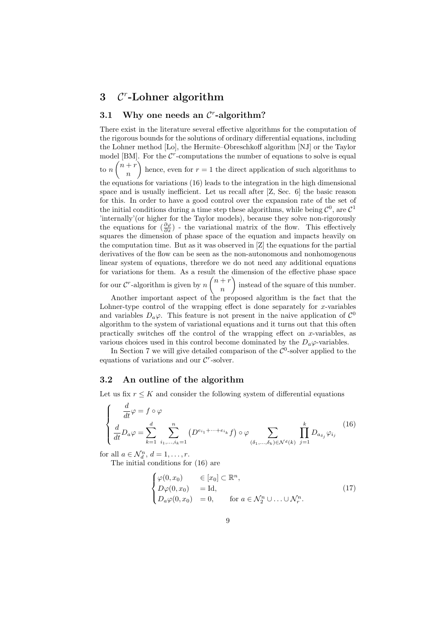# **3** *C r* **-Lohner algorithm**

# **3.1 Why one needs an** *C r* **-algorithm?**

There exist in the literature several effective algorithms for the computation of the rigorous bounds for the solutions of ordinary differential equations, including the Lohner method [Lo], the Hermite–Obreschkoff algorithm [NJ] or the Taylor model [BM]. For the  $\mathcal{C}^r$ -computations the number of equations to solve is equal  $\frac{1}{\ln n}$   $\binom{n+r}{n}$ *n* hence, even for  $r = 1$  the direct application of such algorithms to the equations for variations (16) leads to the integration in the high dimensional space and is usually inefficient. Let us recall after  $[Z, \text{Sec. } 6]$  the basic reason for this. In order to have a good control over the expansion rate of the set of the initial conditions during a time step these algorithms, while being  $\mathcal{C}^0$ , are  $\mathcal{C}^1$ 'internally'(or higher for the Taylor models), because they solve non-rigorously the equations for  $(\frac{\partial \varphi}{\partial x})$  - the variational matrix of the flow. This effectively squares the dimension of phase space of the equation and impacts heavily on the computation time. But as it was observed in [Z] the equations for the partial derivatives of the flow can be seen as the non-autonomous and nonhomogenous linear system of equations, therefore we do not need any additional equations for variations for them. As a result the dimension of the effective phase space for our  $\mathcal{C}^r$ -algorithm is given by  $n\binom{n+r}{r}$ *n* ) instead of the square of this number.

Another important aspect of the proposed algorithm is the fact that the Lohner-type control of the wrapping effect is done separately for *x*-variables and variables  $D_a\varphi$ . This feature is not present in the naive application of  $\mathcal{C}^0$ algorithm to the system of variational equations and it turns out that this often practically switches off the control of the wrapping effect on *x*-variables, as various choices used in this control become dominated by the  $D_a\varphi$ -variables.

In Section 7 we will give detailed comparison of the  $\mathcal{C}^0$ -solver applied to the equations of variations and our  $C^r$ -solver.

#### **3.2 An outline of the algorithm**

Let us fix  $r \leq K$  and consider the following system of differential equations

$$
\begin{cases}\n\frac{d}{dt}\varphi = f \circ \varphi \\
\frac{d}{dt}D_a\varphi = \sum_{k=1}^d \sum_{i_1,\dots,i_k=1}^n (D^{e_{i_1}+\dots+e_{i_k}}f) \circ \varphi \sum_{(\delta_1,\dots,\delta_k)\in \mathcal{N}^d(k)} \prod_{j=1}^k D_{a_{\delta_j}}\varphi_{i_j}\n\end{cases}
$$
\n(16)

for all  $a \in \mathcal{N}_d^n$ ,  $d = 1, \ldots, r$ .

The initial conditions for (16) are

$$
\begin{cases}\n\varphi(0, x_0) & \in [x_0] \subset \mathbb{R}^n, \\
D\varphi(0, x_0) & = \text{Id}, \\
D_a\varphi(0, x_0) & = 0, \quad \text{for } a \in \mathcal{N}_2^n \cup \ldots \cup \mathcal{N}_r^n.\n\end{cases}
$$
\n(17)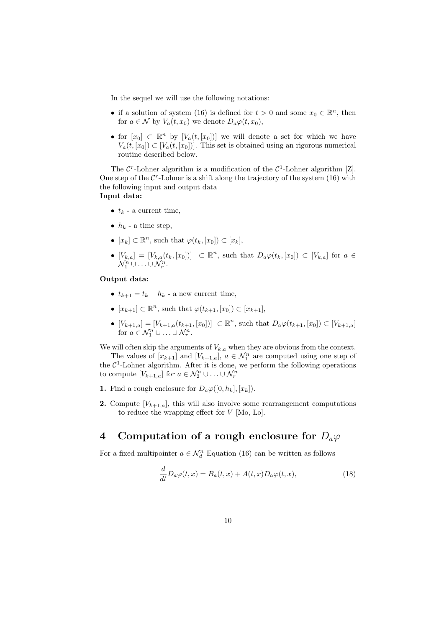In the sequel we will use the following notations:

- if a solution of system (16) is defined for  $t > 0$  and some  $x_0 \in \mathbb{R}^n$ , then for  $a \in \mathcal{N}$  by  $V_a(t, x_0)$  we denote  $D_a \varphi(t, x_0)$ ,
- for  $[x_0] \subset \mathbb{R}^n$  by  $[V_a(t,[x_0])]$  we will denote a set for which we have  $V_a(t,[x_0]) \subset [V_a(t,[x_0])]$ . This set is obtained using an rigorous numerical routine described below.

The  $\mathcal{C}^r$ -Lohner algorithm is a modification of the  $\mathcal{C}^1$ -Lohner algorithm [Z]. One step of the  $C<sup>r</sup>$ -Lohner is a shift along the trajectory of the system (16) with the following input and output data **Input data:**

- $t_k$  a current time,
- $h_k$  a time step,
- $\bullet$  [ $x_k$ ] ⊂  $\mathbb{R}^n$ , such that  $\varphi(t_k, [x_0]) \subset [x_k]$ ,
- $[V_{k,a}] = [V_{k,a}(t_k,[x_0])] \subset \mathbb{R}^n$ , such that  $D_a\varphi(t_k,[x_0]) \subset [V_{k,a}]$  for  $a \in$  $\mathcal{N}_1^n \cup \ldots \cup \mathcal{N}_r^n$ .

#### **Output data:**

- $t_{k+1} = t_k + h_k$  a new current time,
- $\bullet$  [ $x_{k+1}$ ] ⊂  $\mathbb{R}^n$ , such that  $\varphi(t_{k+1}, [x_0]) \subset [x_{k+1}]$ ,
- $[V_{k+1,a}] = [V_{k+1,a}(t_{k+1}, [x_0])] \subset \mathbb{R}^n$ , such that  $D_a \varphi(t_{k+1}, [x_0]) \subset [V_{k+1,a}]$ for  $a \in \mathcal{N}_1^n \cup \ldots \cup \mathcal{N}_r^n$ .

We will often skip the arguments of  $V_{k,a}$  when they are obvious from the context.

The values of  $[x_{k+1}]$  and  $[V_{k+1,a}]$ ,  $a \in \mathcal{N}_1^n$  are computed using one step of the  $C<sup>1</sup>$ -Lohner algorithm. After it is done, we perform the following operations to compute  $[V_{k+1,a}]$  for  $a \in \mathcal{N}_2^n \cup \ldots \cup \mathcal{N}_r^n$ 

- **1.** Find a rough enclosure for  $D_a\varphi([0,h_k],[x_k])$ .
- **2.** Compute  $[V_{k+1,a}]$ , this will also involve some rearrangement computations to reduce the wrapping effect for *V* [Mo, Lo].

# **4** Computation of a rough enclosure for  $D_a\varphi$

For a fixed multipointer  $a \in \mathcal{N}_d^n$  Equation (16) can be written as follows

$$
\frac{d}{dt}D_a\varphi(t,x) = B_a(t,x) + A(t,x)D_a\varphi(t,x),\tag{18}
$$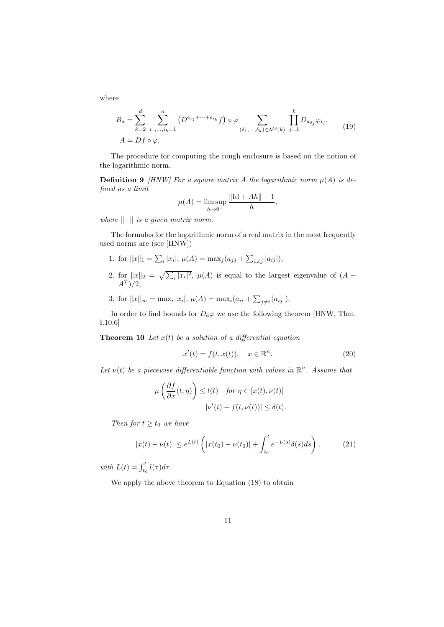where

$$
B_a = \sum_{k=2}^d \sum_{i_1,\dots,i_k=1}^n \left( D^{e_{i_1}+\dots+e_{i_k}} f \right) \circ \varphi \sum_{(\delta_1,\dots,\delta_k) \in \mathcal{N}^d(k)} \prod_{j=1}^k D_{a_{\delta_j}} \varphi_{i_j},\tag{19}
$$
  

$$
A = Df \circ \varphi.
$$

The procedure for computing the rough enclosure is based on the notion of the logarithmic norm.

**Definition 9** *[HNW] For a square matrix A the logarithmic norm*  $\mu(A)$  *is defined as a limit*

$$
\mu(A) = \limsup_{h \to 0^+} \frac{\|\text{Id} + Ah\| - 1}{h},
$$

*where ∥ · ∥ is a given matrix norm.*

The formulas for the logarithmic norm of a real matrix in the most frequently used norms are (see [HNW])

- 1. for  $||x||_1 = \sum_i |x_i|, \mu(A) = \max_j (a_{jj} + \sum_{i \neq j} |a_{ij}|),$
- 2. for  $||x||_2 = \sqrt{\sum_i |x_i|^2}$ ,  $\mu(A)$  is equal to the largest eigenvalue of  $(A +$ *A<sup>T</sup>* )*/*2,
- 3. for  $||x||_{\infty} = \max_{i} |x_i|, \mu(A) = \max_{i} (a_{ii} + \sum_{j \neq i} |a_{ij}|).$

In order to find bounds for  $D_a\varphi$  we use the following theorem [HNW, Thm. I.10.6]

**Theorem 10** *Let*  $x(t)$  *be a solution of a differential equation* 

$$
x'(t) = f(t, x(t)), \quad x \in \mathbb{R}^n.
$$
\n
$$
(20)
$$

Let  $\nu(t)$  be a piecewise differentiable function with values in  $\mathbb{R}^n$ . Assume that

$$
\mu\left(\frac{\partial f}{\partial x}(t,\eta)\right) \le l(t) \quad \text{for } \eta \in [x(t),\nu(t)]
$$

$$
|\nu'(t) - f(t,\nu(t))| \le \delta(t).
$$

*Then for*  $t \geq t_0$  *we have* 

$$
|x(t) - \nu(t)| \le e^{L(t)} \left( |x(t_0) - \nu(t_0)| + \int_{t_0}^t e^{-L(s)} \delta(s) ds \right), \tag{21}
$$

*with*  $L(t) = \int_{t_0}^t l(\tau) d\tau$ .

We apply the above theorem to Equation (18) to obtain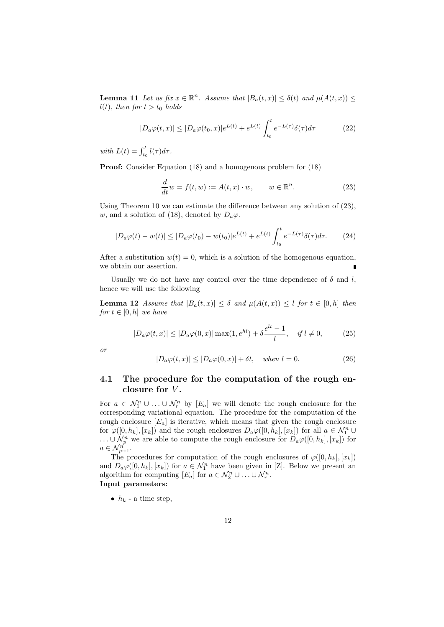**Lemma 11** *Let us fix*  $x \in \mathbb{R}^n$ *. Assume that*  $|B_a(t,x)| \leq \delta(t)$  *and*  $\mu(A(t,x)) \leq$  $l(t)$ *, then for*  $t > t_0$  *holds* 

$$
|D_a\varphi(t,x)| \le |D_a\varphi(t_0,x)|e^{L(t)} + e^{L(t)} \int_{t_0}^t e^{-L(\tau)} \delta(\tau) d\tau
$$
 (22)

*with*  $L(t) = \int_{t_0}^t l(\tau) d\tau$ .

**Proof:** Consider Equation (18) and a homogenous problem for (18)

$$
\frac{d}{dt}w = f(t, w) := A(t, x) \cdot w, \qquad w \in \mathbb{R}^n.
$$
\n(23)

Using Theorem 10 we can estimate the difference between any solution of (23), *w*, and a solution of (18), denoted by  $D_a\varphi$ .

$$
|D_a\varphi(t) - w(t)| \le |D_a\varphi(t_0) - w(t_0)|e^{L(t)} + e^{L(t)} \int_{t_0}^t e^{-L(\tau)} \delta(\tau) d\tau.
$$
 (24)

After a substitution  $w(t) = 0$ , which is a solution of the homogenous equation, we obtain our assertion.

Usually we do not have any control over the time dependence of  $\delta$  and *l*, hence we will use the following

**Lemma 12** *Assume that*  $|B_a(t,x)| \leq \delta$  *and*  $\mu(A(t,x)) \leq l$  *for*  $t \in [0,h]$  *then for*  $t \in [0, h]$  *we have* 

$$
|D_a\varphi(t,x)| \le |D_a\varphi(0,x)| \max(1, e^{hl}) + \delta \frac{e^{lt} - 1}{l}, \quad \text{if } l \ne 0,
$$
 (25)

*or*

$$
|D_a\varphi(t,x)| \le |D_a\varphi(0,x)| + \delta t, \quad when \ l = 0. \tag{26}
$$

### **4.1 The procedure for the computation of the rough enclosure for** *V* **.**

For  $a \in \mathcal{N}_1^n \cup \ldots \cup \mathcal{N}_r^n$  by  $[E_a]$  we will denote the rough enclosure for the corresponding variational equation. The procedure for the computation of the rough enclosure [*Ea*] is iterative, which means that given the rough enclosure for  $\varphi([0, h_k], [x_k])$  and the rough enclosures  $D_a \varphi([0, h_k], [x_k])$  for all  $a \in \mathcal{N}_1^n \cup$ *...* ∪  $\mathcal{N}_p^n$  we are able to compute the rough enclosure for  $D_a\varphi([0, h_k], [x_k])$  for  $a \in \mathcal{N}_{p+1}^{n^{\prime}}$ .

The procedures for computation of the rough enclosures of  $\varphi([0, h_k], [x_k])$ and  $D_a\varphi([0,h_k],[x_k])$  for  $a\in\mathcal{N}_1^n$  have been given in [Z]. Below we present an algorithm for computing  $[E_a]$  for  $a \in \mathcal{N}_2^n \cup \ldots \cup \mathcal{N}_r^n$ . **Input parameters:**

•  $h_k$  - a time step,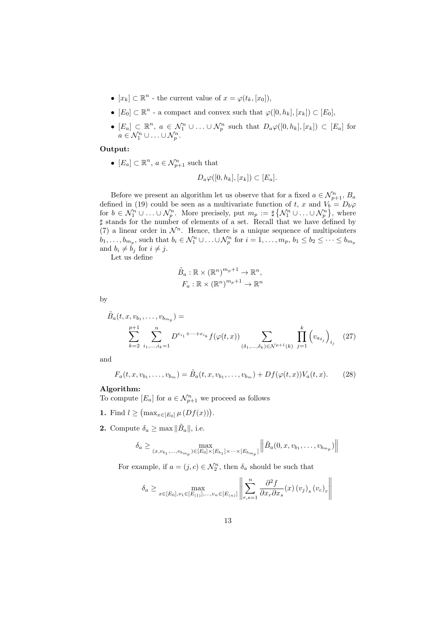- $[x_k] \subset \mathbb{R}^n$  the current value of  $x = \varphi(t_k, [x_0]),$
- $\bullet$   $[E_0]$  ⊂  $\mathbb{R}^n$  a compact and convex such that  $\varphi([0, h_k], [x_k]) \subset [E_0]$ ,
- $[E_a] \subset \mathbb{R}^n$ ,  $a \in \mathcal{N}_1^n \cup ... \cup \mathcal{N}_p^n$  such that  $D_a \varphi([0, h_k], [x_k]) \subset [E_a]$  for  $a \in \mathcal{N}_1^n \cup \ldots \cup \mathcal{N}_p^n$ .

#### **Output:**

•  $[E_a] \subset \mathbb{R}^n$ ,  $a \in \mathcal{N}_{p+1}^n$  such that

$$
D_a\varphi([0,h_k],[x_k])\subset [E_a].
$$

Before we present an algorithm let us observe that for a fixed  $a \in \mathcal{N}_{p+1}^n$ ,  $B_a$ defined in (19) could be seen as a multivariate function of  $t, x$  and  $V_b = D_b\varphi$ for  $b \in \mathcal{N}_1^n \cup \ldots \cup \mathcal{N}_p^n$ . More precisely, put  $m_p := \sharp \{ \mathcal{N}_1^n \cup \ldots \cup \mathcal{N}_p^n \}$ , where *♯* stands for the number of elements of a set. Recall that we have defined by (7) a linear order in  $\mathcal{N}^n$ . Hence, there is a unique sequence of multipointers  $b_1,\ldots,b_{m_p}$ , such that  $b_i\in\mathcal{N}_1^n\cup\ldots\cup\mathcal{N}_p^n$  for  $i=1,\ldots,m_p,\,b_1\leq b_2\leq\cdots\leq b_{m_p}$ and  $b_i \neq \overline{b}_j$  for  $i \neq j$ .

Let us define

$$
\tilde{B}_a: \mathbb{R} \times (\mathbb{R}^n)^{m_p+1} \to \mathbb{R}^n,
$$

$$
F_a: \mathbb{R} \times (\mathbb{R}^n)^{m_p+1} \to \mathbb{R}^n
$$

by

$$
\tilde{B}_a(t, x, v_{b_1}, \dots, v_{b_{m_p}}) = \sum_{k=2}^{p+1} \sum_{i_1, \dots, i_k=1}^n D^{e_{i_1} + \dots + e_{i_k}} f(\varphi(t, x)) \sum_{(\delta_1, \dots, \delta_k) \in \mathcal{N}^{p+1}(k)} \prod_{j=1}^k \left(v_{a_{\delta_j}}\right)_{i_j} \tag{27}
$$

and

$$
F_a(t, x, v_{b_1}, \dots, v_{b_m}) = \tilde{B}_a(t, x, v_{b_1}, \dots, v_{b_m}) + Df(\varphi(t, x))V_a(t, x). \tag{28}
$$

#### **Algorithm:**

To compute  $[E_a]$  for  $a \in \mathcal{N}_{p+1}^n$  we proceed as follows

- **1.** Find *l* ≥  $(\max_{x \in [E_0]} \mu(Df(x)))$ .
- **2.** Compute  $\delta_a \geq \max ||\tilde{B}_a||$ , i.e.

$$
\delta_a \ge \max_{(x, v_{b_1}, \dots, v_{b_{m_p}}) \in [E_0] \times [E_{b_1}] \times \dots \times [E_{b_{m_p}}]} || \tilde{B}_a(0, x, v_{b_1}, \dots, v_{b_{m_p}}) ||
$$

For example, if  $a = (j, c) \in \mathcal{N}_2^n$ , then  $\delta_a$  should be such that

$$
\delta_a \ge \max_{x \in [E_0], v_1 \in [E_{(1)}],...,v_n \in [E_{(n)}]} \left\| \sum_{r,s=1}^n \frac{\partial^2 f}{\partial x_r \partial x_s}(x) (v_j)_s (v_c)_r \right\|
$$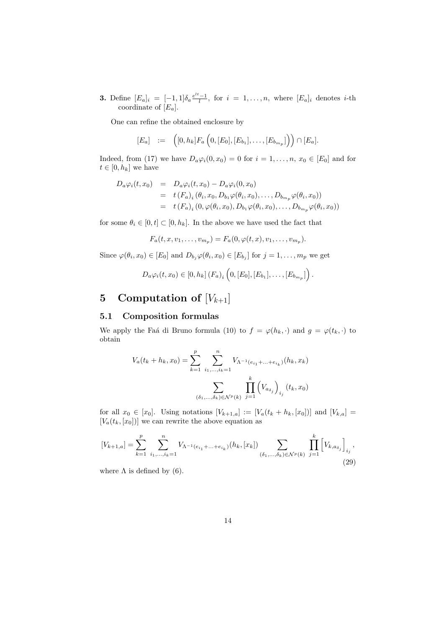**3.** Define  $[E_a]_i = [-1,1] \delta_a \frac{e^{it} - 1}{l}$ , for  $i = 1, \ldots, n$ , where  $[E_a]_i$  denotes *i*-th coordinate of [*Ea*].

One can refine the obtained enclosure by

$$
[E_a] := ([0, h_k]F_a\left(0, [E_0], [E_{b_1}], \ldots, [E_{b_{m_p}}]\right)) \cap [E_a].
$$

Indeed, from (17) we have  $D_a\varphi_i(0, x_0) = 0$  for  $i = 1, \ldots, n, x_0 \in [E_0]$  and for  $t \in [0, h_k]$  we have

$$
D_a \varphi_i(t, x_0) = D_a \varphi_i(t, x_0) - D_a \varphi_i(0, x_0)
$$
  
=  $t(F_a)_i (\theta_i, x_0, D_{b_1} \varphi(\theta_i, x_0), \dots, D_{b_{m_p}} \varphi(\theta_i, x_0))$   
=  $t(F_a)_i (0, \varphi(\theta_i, x_0), D_{b_1} \varphi(\theta_i, x_0), \dots, D_{b_{m_p}} \varphi(\theta_i, x_0))$ 

for some  $\theta_i \in [0, t] \subset [0, h_k]$ . In the above we have used the fact that

$$
F_a(t, x, v_1, \dots, v_{m_p}) = F_a(0, \varphi(t, x), v_1, \dots, v_{m_p}).
$$

Since  $\varphi(\theta_i, x_0) \in [E_0]$  and  $D_{b_j} \varphi(\theta_i, x_0) \in [E_{b_j}]$  for  $j = 1, \ldots, m_p$  we get

$$
D_a \varphi_i(t, x_0) \in [0, h_k] (F_a)_i \left(0, [E_0], [E_{b_1}], \ldots, [E_{b_{m_p}}]\right).
$$

# **5** Computation of  $[V_{k+1}]$

#### **5.1 Composition formulas**

We apply the Faá di Bruno formula (10) to  $f = \varphi(h_k, \cdot)$  and  $g = \varphi(t_k, \cdot)$  to obtain

$$
V_a(t_k + h_k, x_0) = \sum_{k=1}^p \sum_{i_1, ..., i_k=1}^n V_{\Lambda^{-1}(e_{i_1} + ... + e_{i_k})}(h_k, x_k)
$$

$$
\sum_{(\delta_1, ..., \delta_k) \in \mathcal{N}^p(k)} \prod_{j=1}^k (V_{a_{\delta_j}})_{i_j} (t_k, x_0)
$$

for all  $x_0 \in [x_0]$ . Using notations  $[V_{k+1,a}] := [V_a(t_k + h_k, [x_0])]$  and  $[V_{k,a}] =$  $[V_a(t_k,[x_0])]$  we can rewrite the above equation as

$$
[V_{k+1,a}] = \sum_{k=1}^{p} \sum_{i_1,\dots,i_k=1}^{n} V_{\Lambda^{-1}(e_{i_1}+\dots+e_{i_k})}(h_k,[x_k]) \sum_{(\delta_1,\dots,\delta_k)\in \mathcal{N}^p(k)} \prod_{j=1}^{k} \left[ V_{k,a_{\delta_j}} \right]_{i_j},
$$
\n(29)

where  $\Lambda$  is defined by (6).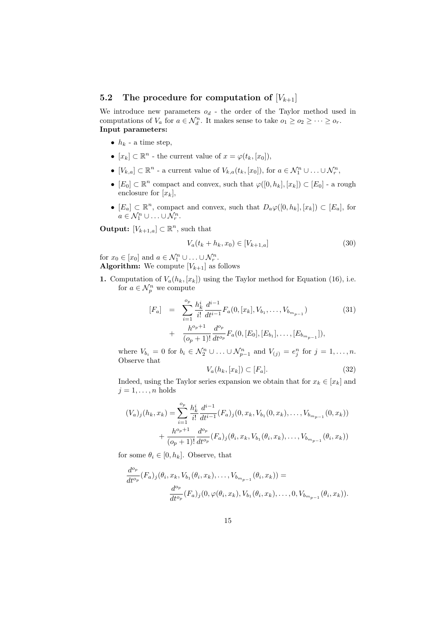### **5.2** The procedure for computation of  $[V_{k+1}]$

We introduce new parameters  $o_d$  - the order of the Taylor method used in computations of  $V_a$  for  $a \in \mathcal{N}_d^n$ . It makes sense to take  $o_1 \geq o_2 \geq \cdots \geq o_r$ . **Input parameters:**

- $h_k$  a time step,
- $[x_k] \subset \mathbb{R}^n$  the current value of  $x = \varphi(t_k, [x_0]),$
- $[V_{k,a}] \subset \mathbb{R}^n$  a current value of  $V_{k,a}(t_k,[x_0])$ , for  $a \in \mathcal{N}_1^n \cup \ldots \cup \mathcal{N}_r^n$ ,
- *•*  $[E_0]$  ⊂  $\mathbb{R}^n$  compact and convex, such that  $\varphi([0, h_k], [x_k]) \subset [E_0]$  a rough enclosure for  $[x_k]$ ,
- *•*  $[E_a]$  ⊂  $\mathbb{R}^n$ , compact and convex, such that  $D_a\varphi([0, h_k], [x_k]) \subset [E_a]$ , for  $a \in \mathcal{N}_1^n \cup \ldots \cup \mathcal{N}_r^n$ .

**Output:**  $[V_{k+1,a}] \subset \mathbb{R}^n$ , such that

$$
V_a(t_k + h_k, x_0) \in [V_{k+1,a}] \tag{30}
$$

for  $x_0 \in [x_0]$  and  $a \in \mathcal{N}_1^n \cup \ldots \cup \mathcal{N}_r^n$ . **Algorithm:** We compute  $[V_{k+1}]$  as follows

**1.** Computation of  $V_a(h_k,[x_k])$  using the Taylor method for Equation (16), i.e. for  $a \in \mathcal{N}_p^n$  we compute

$$
[F_a] = \sum_{i=1}^{o_p} \frac{h_k^i}{i!} \frac{d^{i-1}}{dt^{i-1}} F_a(0, [x_k], V_{b_1}, \dots, V_{b_{m_{p-1}}})
$$
  
+ 
$$
\frac{h^{o_p+1}}{(o_p+1)!} \frac{d^{o_p}}{dt^{o_p}} F_a(0, [E_0], [E_{b_1}], \dots, [E_{b_{m_{p-1}}}]),
$$
 (31)

where  $V_{b_i} = 0$  for  $b_i \in \mathcal{N}_2^n \cup ... \cup \mathcal{N}_{p-1}^n$  and  $V_{(j)} = e_j^n$  for  $j = 1, ..., n$ . Observe that

$$
V_a(h_k, [x_k]) \subset [F_a]. \tag{32}
$$

Indeed, using the Taylor series expansion we obtain that for  $x_k \in [x_k]$  and  $j = 1, \ldots, n$  holds

$$
(V_a)_j(h_k, x_k) = \sum_{i=1}^{o_p} \frac{h_k^i}{i!} \frac{d^{i-1}}{dt^{i-1}} (F_a)_j(0, x_k, V_{b_1}(0, x_k), \dots, V_{b_{m_{p-1}}}(0, x_k))
$$
  
+ 
$$
\frac{h^{o_p+1}}{(o_p+1)!} \frac{d^{o_p}}{dt^{o_p}} (F_a)_j(\theta_i, x_k, V_{b_1}(\theta_i, x_k), \dots, V_{b_{m_{p-1}}}(\theta_i, x_k))
$$

for some  $\theta_i \in [0, h_k]$ . Observe, that

$$
\frac{d^{o_p}}{dt^{o_p}}(F_a)_j(\theta_i, x_k, V_{b_1}(\theta_i, x_k), \dots, V_{b_{m_{p-1}}}(\theta_i, x_k)) =
$$

$$
\frac{d^{o_p}}{dt^{o_p}}(F_a)_j(0, \varphi(\theta_i, x_k), V_{b_1}(\theta_i, x_k), \dots, 0, V_{b_{m_{p-1}}}(\theta_i, x_k)).
$$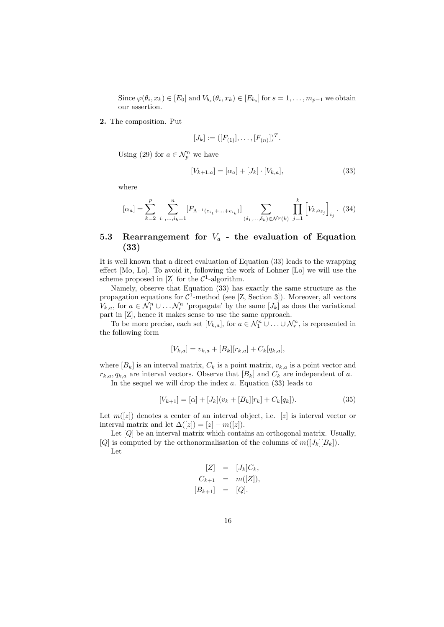Since  $\varphi(\theta_i, x_k) \in [E_0]$  and  $V_{b_s}(\theta_i, x_k) \in [E_{b_s}]$  for  $s = 1, \ldots, m_{p-1}$  we obtain our assertion.

#### **2.** The composition. Put

$$
[J_k] := ([F_{(1)}], \ldots, [F_{(n)}])^T.
$$

Using (29) for  $a \in \mathcal{N}_p^n$  we have

$$
[V_{k+1,a}] = [\alpha_a] + [J_k] \cdot [V_{k,a}], \tag{33}
$$

where

$$
[\alpha_a] = \sum_{k=2}^p \sum_{i_1,\dots,i_k=1}^n [F_{\Lambda^{-1}(e_{i_1}+\dots+e_{i_k})}] \sum_{(\delta_1,\dots,\delta_k)\in \mathcal{N}^p(k)} \prod_{j=1}^k \left[ V_{k,a_{\delta_j}} \right]_{i_j}.
$$
 (34)

### **5.3 Rearrangement for** *V<sup>a</sup>* **- the evaluation of Equation (33)**

It is well known that a direct evaluation of Equation (33) leads to the wrapping effect [Mo, Lo]. To avoid it, following the work of Lohner [Lo] we will use the scheme proposed in  $[Z]$  for the  $\mathcal{C}^1$ -algorithm.

Namely, observe that Equation (33) has exactly the same structure as the propagation equations for  $C^1$ -method (see [Z, Section 3]). Moreover, all vectors *V*<sub>*k,a*</sub>, for  $a \in \mathcal{N}_1^n \cup \ldots \mathcal{N}_r^n$  'propagate' by the same  $[J_k]$  as does the variational part in [Z], hence it makes sense to use the same approach.

To be more precise, each set  $[V_{k,a}]$ , for  $a \in \mathcal{N}_1^n \cup \ldots \cup \mathcal{N}_r^n$ , is represented in the following form

$$
[V_{k,a}] = v_{k,a} + [B_k][r_{k,a}] + C_k[q_{k,a}],
$$

where  $[B_k]$  is an interval matrix,  $C_k$  is a point matrix,  $v_{k,a}$  is a point vector and  $r_{k,a}, q_{k,a}$  are interval vectors. Observe that  $[B_k]$  and  $C_k$  are independent of *a*.

In the sequel we will drop the index *a*. Equation (33) leads to

$$
[V_{k+1}] = [\alpha] + [J_k](v_k + [B_k][r_k] + C_k[q_k]). \tag{35}
$$

Let  $m([z])$  denotes a center of an interval object, i.e. [*z*] is interval vector or interval matrix and let  $\Delta([z]) = [z] - m([z]).$ 

Let [*Q*] be an interval matrix which contains an orthogonal matrix. Usually,  $[Q]$  is computed by the orthonormalisation of the columns of  $m([J_k][B_k])$ . Let

$$
[Z] = [J_k]C_k,
$$
  
\n
$$
C_{k+1} = m([Z]),
$$
  
\n
$$
[B_{k+1}] = [Q].
$$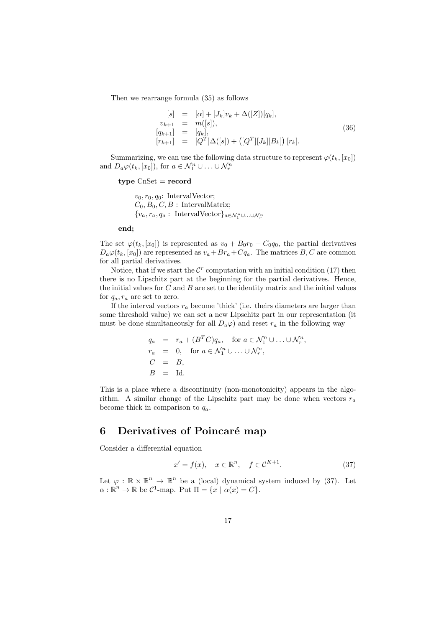Then we rearrange formula (35) as follows

$$
[s] = [\alpha] + [J_k]v_k + \Delta([Z])[q_k],
$$
  
\n
$$
v_{k+1} = m([s]),
$$
  
\n
$$
[q_{k+1}] = [q_k],
$$
  
\n
$$
[r_{k+1}] = [Q^T]\Delta([s]) + ([Q^T][J_k][B_k]) [r_k].
$$
\n(36)

Summarizing, we can use the following data structure to represent  $\varphi(t_k, [x_0])$ and  $D_a\varphi(t_k,[x_0]),$  for  $a \in \mathcal{N}_1^n \cup \ldots \cup \mathcal{N}_r^n$ 

#### **type** CnSet = **record**

 $v_0, r_0, q_0$ : IntervalVector;  $C_0, B_0, C, B$ : IntervalMatrix;  ${v_a, r_a, q_a: \text{IntervalVector}}_{a \in \mathcal{N}_1^n}$ *∪...∪* $\mathcal{N}_r^n$ 

**end;**

The set  $\varphi(t_k, [x_0])$  is represented as  $v_0 + B_0r_0 + C_0q_0$ , the partial derivatives  $D_a\varphi(t_k,[x_0])$  are represented as  $v_a+Br_a+Cq_a$ . The matrices *B*, *C* are common for all partial derivatives.

Notice, that if we start the  $\mathcal{C}^r$  computation with an initial condition (17) then there is no Lipschitz part at the beginning for the partial derivatives. Hence, the initial values for *C* and *B* are set to the identity matrix and the initial values for  $q_a, r_a$  are set to zero.

If the interval vectors  $r_a$  become 'thick' (i.e. theirs diameters are larger than some threshold value) we can set a new Lipschitz part in our representation (it must be done simultaneously for all  $D_a\varphi$  and reset  $r_a$  in the following way

$$
q_a = r_a + (B^T C)q_a, \text{ for } a \in \mathcal{N}_1^n \cup \ldots \cup \mathcal{N}_r^n,
$$
  
\n
$$
r_a = 0, \text{ for } a \in \mathcal{N}_1^n \cup \ldots \cup \mathcal{N}_r^n,
$$
  
\n
$$
C = B,
$$
  
\n
$$
B = \text{Id}.
$$

This is a place where a discontinuity (non-monotonicity) appears in the algorithm. A similar change of the Lipschitz part may be done when vectors  $r_a$ become thick in comparison to *qa*.

# **6** Derivatives of Poincaré map

Consider a differential equation

$$
x' = f(x), \quad x \in \mathbb{R}^n, \quad f \in \mathcal{C}^{K+1}.
$$
 (37)

Let  $\varphi : \mathbb{R} \times \mathbb{R}^n \to \mathbb{R}^n$  be a (local) dynamical system induced by (37). Let  $\alpha: \mathbb{R}^n \to \mathbb{R}$  be  $C^1$ -map. Put  $\Pi = \{x \mid \alpha(x) = C\}.$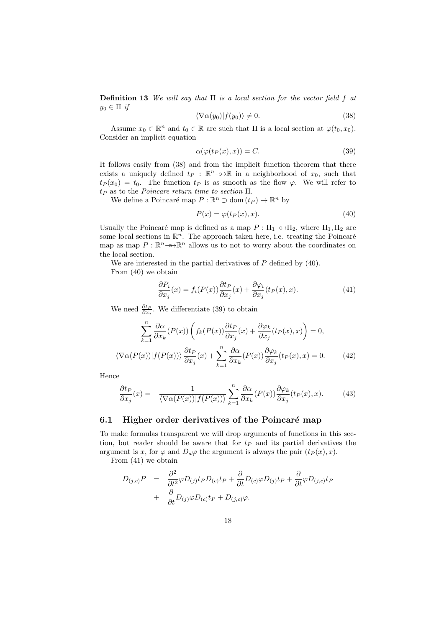**Definition 13** *We will say that* Π *is a local section for the vector field f at*  $y_0 \in \Pi$  *if* 

$$
\langle \nabla \alpha(y_0) | f(y_0) \rangle \neq 0. \tag{38}
$$

Assume  $x_0 \in \mathbb{R}^n$  and  $t_0 \in \mathbb{R}$  are such that  $\Pi$  is a local section at  $\varphi(t_0, x_0)$ . Consider an implicit equation

$$
\alpha(\varphi(t_P(x),x)) = C.\t(39)
$$

It follows easily from (38) and from the implicit function theorem that there exists a uniquely defined  $t_P$  :  $\mathbb{R}^n$ *→*→ $\mathbb{R}$  in a neighborhood of  $x_0$ , such that  $t_P(x_0) = t_0$ . The function  $t_P$  is as smooth as the flow *φ*. We will refer to *t<sup>P</sup>* as to the *Poincare return time to section* Π.

We define a Poincaré map  $P : \mathbb{R}^n \supset \text{dom}(t_P) \to \mathbb{R}^n$  by

$$
P(x) = \varphi(t_P(x), x). \tag{40}
$$

Usually the Poincaré map is defined as a map  $P : \Pi_1 \rightarrow \Pi_2$ , where  $\Pi_1, \Pi_2$  are some local sections in  $\mathbb{R}^n$ . The approach taken here, i.e. treating the Poincaré map as map  $P: \mathbb{R}^n \longrightarrow \mathbb{R}^n$  allows us to not to worry about the coordinates on the local section.

We are interested in the partial derivatives of *P* defined by (40).

From (40) we obtain

$$
\frac{\partial P_i}{\partial x_j}(x) = f_i(P(x)) \frac{\partial t_P}{\partial x_j}(x) + \frac{\partial \varphi_i}{\partial x_j}(t_P(x), x). \tag{41}
$$

We need  $\frac{\partial t_P}{\partial x_j}$ . We differentiate (39) to obtain

$$
\sum_{k=1}^{n} \frac{\partial \alpha}{\partial x_k} (P(x)) \left( f_k(P(x)) \frac{\partial t_P}{\partial x_j}(x) + \frac{\partial \varphi_k}{\partial x_j} (t_P(x), x) \right) = 0,
$$
  

$$
\langle \nabla \alpha(P(x)) | f(P(x)) \rangle \frac{\partial t_P}{\partial x_j}(x) + \sum_{k=1}^{n} \frac{\partial \alpha}{\partial x_k} (P(x)) \frac{\partial \varphi_k}{\partial x_j} (t_P(x), x) = 0.
$$
 (42)

Hence

$$
\frac{\partial t_P}{\partial x_j}(x) = -\frac{1}{\langle \nabla \alpha(P(x)) | f(P(x)) \rangle} \sum_{k=1}^n \frac{\partial \alpha}{\partial x_k}(P(x)) \frac{\partial \varphi_k}{\partial x_j}(t_P(x), x). \tag{43}
$$

#### **6.1 Higher order derivatives of the Poincaré map**

To make formulas transparent we will drop arguments of functions in this section, but reader should be aware that for *t<sup>P</sup>* and its partial derivatives the argument is *x*, for  $\varphi$  and  $D_a\varphi$  the argument is always the pair  $(t_P(x), x)$ .

From (41) we obtain

$$
D_{(j,c)}P = \frac{\partial^2}{\partial t^2} \varphi D_{(j)} t_P D_{(c)} t_P + \frac{\partial}{\partial t} D_{(c)} \varphi D_{(j)} t_P + \frac{\partial}{\partial t} \varphi D_{(j,c)} t_P + \frac{\partial}{\partial t} D_{(j)} \varphi D_{(c)} t_P + D_{(j,c)} \varphi.
$$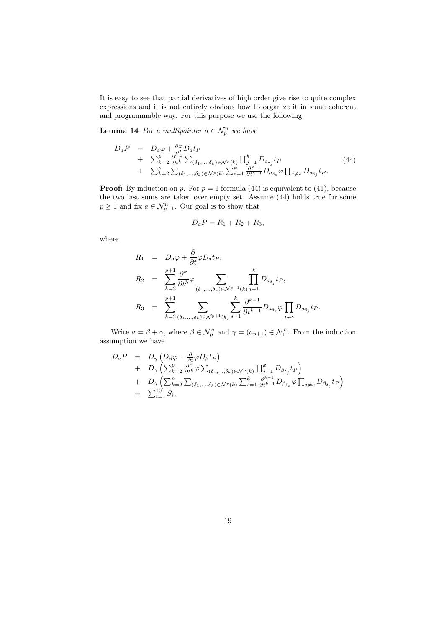It is easy to see that partial derivatives of high order give rise to quite complex expressions and it is not entirely obvious how to organize it in some coherent and programmable way. For this purpose we use the following

**Lemma 14** *For a multipointer*  $a \in \mathcal{N}_p^n$  *we have* 

$$
D_a P = D_a \varphi + \frac{\partial \varphi}{\partial t} D_a t_P + \sum_{k=2}^p \frac{\partial^k \varphi}{\partial t^k} \sum_{(\delta_1, ..., \delta_k) \in \mathcal{N}^p(k)} \prod_{j=1}^k D_{a_{\delta_j}} t_P + \sum_{k=2}^p \sum_{(\delta_1, ..., \delta_k) \in \mathcal{N}^p(k)} \sum_{s=1}^k \frac{\partial^{k-1}}{\partial t^{k-1}} D_{a_{\delta_s}} \varphi \prod_{j \neq s} D_{a_{\delta_j}} t_P.
$$
 (44)

**Proof:** By induction on  $p$ . For  $p = 1$  formula (44) is equivalent to (41), because the two last sums are taken over empty set. Assume (44) holds true for some  $p \geq 1$  and fix  $a \in \mathcal{N}_{p+1}^n$ . Our goal is to show that

$$
D_a P = R_1 + R_2 + R_3,
$$

where

$$
R_1 = D_a \varphi + \frac{\partial}{\partial t} \varphi D_a t_P,
$$
  
\n
$$
R_2 = \sum_{k=2}^{p+1} \frac{\partial^k}{\partial t^k} \varphi \sum_{(\delta_1, ..., \delta_k) \in \mathcal{N}^{p+1}(k)} \prod_{j=1}^k D_{a_{\delta_j}} t_P,
$$
  
\n
$$
R_3 = \sum_{k=2}^{p+1} \sum_{(\delta_1, ..., \delta_k) \in \mathcal{N}^{p+1}(k)} \sum_{s=1}^k \frac{\partial^{k-1}}{\partial t^{k-1}} D_{a_{\delta_s}} \varphi \prod_{j \neq s} D_{a_{\delta_j}} t_P.
$$

Write  $a = \beta + \gamma$ , where  $\beta \in \mathcal{N}_p^n$  and  $\gamma = (a_{p+1}) \in \mathcal{N}_1^n$ . From the induction assumption we have

$$
D_a P = D_{\gamma} (D_{\beta} \varphi + \frac{\partial}{\partial t} \varphi D_{\beta} t_P) + D_{\gamma} \left( \sum_{k=2}^p \frac{\partial^k}{\partial t^k} \varphi \sum_{(\delta_1, ..., \delta_k) \in \mathcal{N}^p(k)} \prod_{j=1}^k D_{\beta_{\delta_j}} t_P \right) + D_{\gamma} \left( \sum_{k=2}^p \sum_{(\delta_1, ..., \delta_k) \in \mathcal{N}^p(k)} \sum_{s=1}^k \frac{\partial^{k-1}}{\partial t^{k-1}} D_{\beta_{\delta_s}} \varphi \prod_{j \neq s} D_{\beta_{\delta_j}} t_P \right) = \sum_{i=1}^{10} S_i,
$$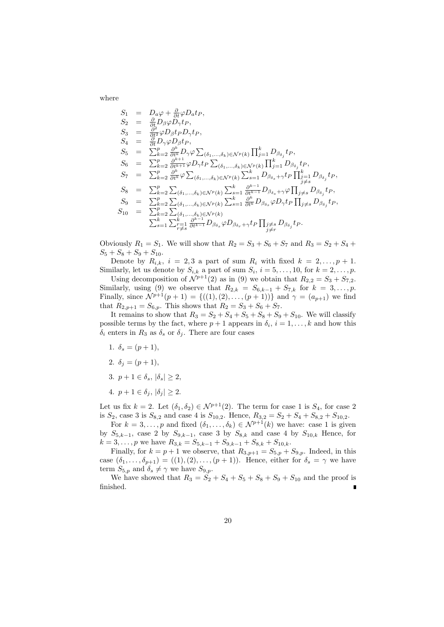where

$$
S_{1} = D_{a}\varphi + \frac{\partial}{\partial t}\varphi D_{a}t_{P},
$$
\n
$$
S_{2} = \frac{\partial}{\partial t}D_{\beta}\varphi D_{\gamma}t_{P},
$$
\n
$$
S_{3} = \frac{\partial}{\partial t^{2}}\varphi D_{\beta}t_{P}D_{\gamma}t_{P},
$$
\n
$$
S_{4} = \frac{\partial}{\partial t}D_{\gamma}\varphi D_{\beta}t_{P},
$$
\n
$$
S_{5} = \sum_{k=2}^{p} \frac{\partial^{k}}{\partial t^{k}}D_{\gamma}\varphi \sum_{(\delta_{1},...,\delta_{k}) \in \mathcal{N}^{p}(k)} \prod_{j=1}^{k} D_{\beta_{\delta_{j}}}t_{P},
$$
\n
$$
S_{6} = \sum_{k=2}^{p} \frac{\partial^{k+1}}{\partial t^{k+1}}\varphi D_{\gamma}t_{P} \sum_{(\delta_{1},...,\delta_{k}) \in \mathcal{N}^{p}(k)} \prod_{j=1}^{k} D_{\beta_{\delta_{j}}}t_{P},
$$
\n
$$
S_{7} = \sum_{k=2}^{p} \frac{\partial^{k}}{\partial t^{k}}\varphi \sum_{(\delta_{1},...,\delta_{k}) \in \mathcal{N}^{p}(k)} \sum_{s=1}^{k} D_{\beta_{s}} + \gamma t_{P} \prod_{j=1}^{k} D_{\beta_{\delta_{j}}}t_{P},
$$
\n
$$
S_{8} = \sum_{k=2}^{p} \sum_{(\delta_{1},...,\delta_{k}) \in \mathcal{N}^{p}(k)} \sum_{s=1}^{k} \frac{\partial^{k-1}}{\partial t^{k-1}} D_{\beta_{\delta_{s}}} + \gamma \varphi \prod_{j \neq s} D_{\beta_{\delta_{j}}}t_{P},
$$
\n
$$
S_{9} = \sum_{k=2}^{p} \sum_{(\delta_{1},...,\delta_{k}) \in \mathcal{N}^{p}(k)} \sum_{s=1}^{k} \frac{\partial^{k-1}}{\partial t^{k}} D_{\beta_{\delta_{s}}} \varphi D_{\gamma}t_{P} \prod_{j \neq s} D_{\beta_{\delta_{j}}}t_{P},
$$
\n
$$
S_{10} = \sum_{k=2}^{p} \sum_{(\delta_{1},...,\delta_{k}) \in \math
$$

Obviously  $R_1 = S_1$ . We will show that  $R_2 = S_3 + S_6 + S_7$  and  $R_3 = S_2 + S_4 +$  $S_5 + S_8 + S_9 + S_{10}$ .

Denote by  $R_{i,k}$ ,  $i = 2, 3$  a part of sum  $R_i$  with fixed  $k = 2, \ldots, p + 1$ . Similarly, let us denote by  $S_{i,k}$  a part of sum  $S_i$ ,  $i = 5, \ldots, 10$ , for  $k = 2, \ldots, p$ .

Using decomposition of  $\mathcal{N}^{p+1}(2)$  as in (9) we obtain that  $R_{2,2} = S_3 + S_{7,2}$ . Similarly, using (9) we observe that  $R_{2,k} = S_{6,k-1} + S_{7,k}$  for  $k = 3, ..., p$ . Finally, since  $N^{p+1}(p+1) = \{((1), (2), \ldots, (p+1))\}$  and  $\gamma = (a_{p+1})$  we find that  $R_{2,p+1} = S_{6,p}$ . This shows that  $R_2 = S_3 + S_6 + S_7$ .

It remains to show that  $R_3 = S_2 + S_4 + S_5 + S_8 + S_9 + S_{10}$ . We will classify possible terms by the fact, where  $p + 1$  appears in  $\delta_i$ ,  $i = 1, \ldots, k$  and how this *δ*<sup>*i*</sup> enters in  $R_3$  as *δ*<sup>*s*</sup> or *δ*<sup>*j*</sup>. There are four cases

- 1.  $\delta_s = (p+1)$ ,
- 2.  $\delta_i = (p+1)$ ,
- 3.  $p + 1 \in \delta_s$ ,  $|\delta_s| > 2$ ,
- 4. *p* + 1 ∈  $δ_j$ ,  $|δ_j|$  ≥ 2.

Let us fix  $k = 2$ . Let  $(\delta_1, \delta_2) \in \mathcal{N}^{p+1}(2)$ . The term for case 1 is  $S_4$ , for case 2 is  $S_2$ , case 3 is  $S_{8,2}$  and case 4 is  $S_{10,2}$ . Hence,  $R_{3,2} = S_2 + S_4 + S_{8,2} + S_{10,2}$ .

For  $k = 3, \ldots, p$  and fixed  $(\delta_1, \ldots, \delta_k) \in \mathcal{N}^{p+1}(k)$  we have: case 1 is given by  $S_{5,k-1}$ , case 2 by  $S_{9,k-1}$ , case 3 by  $S_{8,k}$  and case 4 by  $S_{10,k}$  Hence, for  $k = 3, \ldots, p$  we have  $R_{3,k} = S_{5,k-1} + S_{9,k-1} + S_{8,k} + S_{10,k}$ .

Finally, for  $k = p + 1$  we observe, that  $R_{3,p+1} = S_{5,p} + S_{9,p}$ . Indeed, in this case  $(\delta_1, \ldots, \delta_{p+1}) = ((1), (2), \ldots, (p+1))$ . Hence, either for  $\delta_s = \gamma$  we have term  $S_{5,p}$  and  $\delta_s \neq \gamma$  we have  $S_{9,p}$ .

We have showed that  $R_3 = S_2 + S_4 + S_5 + S_8 + S_9 + S_{10}$  and the proof is finished.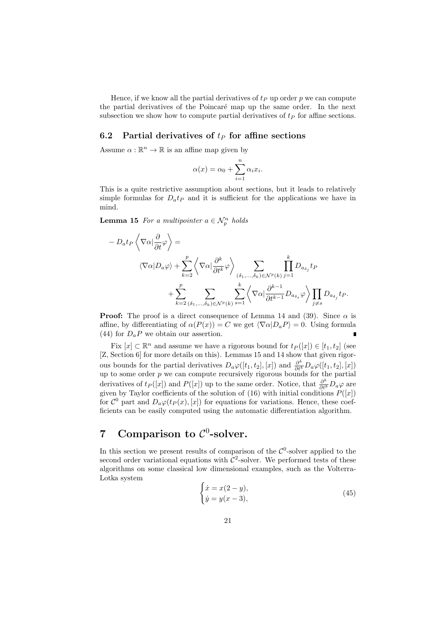Hence, if we know all the partial derivatives of  $t_P$  up order  $p$  we can compute the partial derivatives of the Poincaré map up the same order. In the next subsection we show how to compute partial derivatives of  $t<sub>P</sub>$  for affine sections.

#### **6.2 Partial derivatives of** *t<sup>P</sup>* **for affine sections**

Assume  $\alpha : \mathbb{R}^n \to \mathbb{R}$  is an affine map given by

$$
\alpha(x) = \alpha_0 + \sum_{i=1}^n \alpha_i x_i.
$$

This is a quite restrictive assumption about sections, but it leads to relatively simple formulas for  $D_a t$  and it is sufficient for the applications we have in mind.

**Lemma 15** *For a multipointer*  $a \in \mathcal{N}_p^n$  *holds* 

$$
- D_a t_P \left\langle \nabla \alpha | \frac{\partial}{\partial t} \varphi \right\rangle =
$$
  

$$
\left\langle \nabla \alpha | D_a \varphi \right\rangle + \sum_{k=2}^p \left\langle \nabla \alpha | \frac{\partial^k}{\partial t^k} \varphi \right\rangle_{(\delta_1, ..., \delta_k) \in \mathcal{N}^p(k)} \sum_{j=1}^k D_{a\delta_j} t_P
$$
  

$$
+ \sum_{k=2}^p \sum_{(\delta_1, ..., \delta_k) \in \mathcal{N}^p(k)} \sum_{s=1}^k \left\langle \nabla \alpha | \frac{\partial^{k-1}}{\partial t^{k-1}} D_{a\delta_s} \varphi \right\rangle \prod_{j \neq s} D_{a\delta_j} t_P.
$$

**Proof:** The proof is a direct consequence of Lemma 14 and (39). Since  $\alpha$  is affine, by differentiating of  $\alpha(P(x)) = C$  we get  $\langle \nabla \alpha | D_a P \rangle = 0$ . Using formula (44) for  $D_a P$  we obtain our assertion.

Fix  $[x] \subset \mathbb{R}^n$  and assume we have a rigorous bound for  $t_P([x]) \in [t_1, t_2]$  (see [Z, Section 6] for more details on this). Lemmas 15 and 14 show that given rigorous bounds for the partial derivatives  $D_a\varphi([t_1, t_2], [x])$  and  $\frac{\partial^k}{\partial t^k}D_a\varphi([t_1, t_2], [x])$ up to some order *p* we can compute recursively rigorous bounds for the partial derivatives of  $t_P([x])$  and  $P([x])$  up to the same order. Notice, that  $\frac{\partial^k}{\partial t^k}D_a\varphi$  are given by Taylor coefficients of the solution of (16) with initial conditions  $P([x])$ for  $\mathcal{C}^0$  part and  $D_a\varphi(t_P(x), [x])$  for equations for variations. Hence, these coefficients can be easily computed using the automatic differentiation algorithm.

# **7** Comparison to  $C^0$ -solver.

In this section we present results of comparison of the  $\mathcal{C}^0$ -solver applied to the second order variational equations with  $C^2$ -solver. We performed tests of these algorithms on some classical low dimensional examples, such as the Volterra-Lotka system

$$
\begin{cases}\n\dot{x} = x(2 - y), \\
\dot{y} = y(x - 3),\n\end{cases} \tag{45}
$$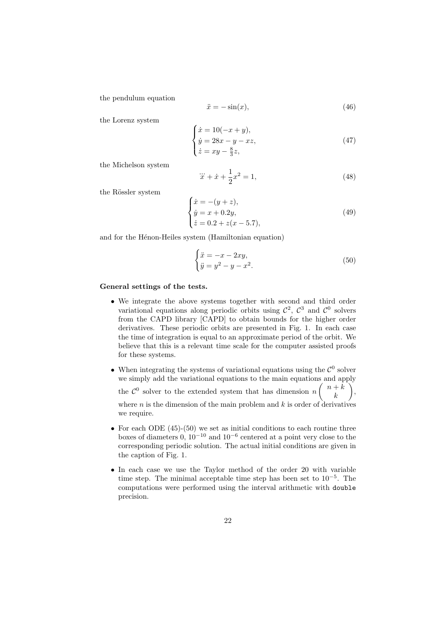the pendulum equation

$$
\ddot{x} = -\sin(x),\tag{46}
$$

the Lorenz system

$$
\begin{cases}\n\dot{x} = 10(-x + y), \\
\dot{y} = 28x - y - xz, \\
\dot{z} = xy - \frac{8}{3}z,\n\end{cases}
$$
\n(47)

the Michelson system

$$
\dddot{x} + \dot{x} + \frac{1}{2}x^2 = 1,\tag{48}
$$

the Rössler system

$$
\begin{cases}\n\dot{x} = -(y+z), \\
\dot{y} = x + 0.2y, \\
\dot{z} = 0.2 + z(x - 5.7),\n\end{cases}
$$
\n(49)

and for the Hénon-Heiles system (Hamiltonian equation)

$$
\begin{cases}\n\ddot{x} = -x - 2xy, \\
\ddot{y} = y^2 - y - x^2.\n\end{cases} \tag{50}
$$

#### **General settings of the tests.**

- *•* We integrate the above systems together with second and third order variational equations along periodic orbits using  $\mathcal{C}^2$ ,  $\mathcal{C}^3$  and  $\mathcal{C}^0$  solvers from the CAPD library [CAPD] to obtain bounds for the higher order derivatives. These periodic orbits are presented in Fig. 1. In each case the time of integration is equal to an approximate period of the orbit. We believe that this is a relevant time scale for the computer assisted proofs for these systems.
- When integrating the systems of variational equations using the  $\mathcal{C}^0$  solver we simply add the variational equations to the main equations and apply the  $\mathcal{C}^0$  solver to the extended system that has dimension  $n\begin{pmatrix} n+k \\ k \end{pmatrix}$ *k* ) , where  $n$  is the dimension of the main problem and  $k$  is order of derivatives we require.
- For each ODE (45)-(50) we set as initial conditions to each routine three boxes of diameters 0, 10*−*<sup>10</sup> and 10*−*<sup>6</sup> centered at a point very close to the corresponding periodic solution. The actual initial conditions are given in the caption of Fig. 1.
- *•* In each case we use the Taylor method of the order 20 with variable time step. The minimal acceptable time step has been set to 10*−*<sup>5</sup> . The computations were performed using the interval arithmetic with double precision.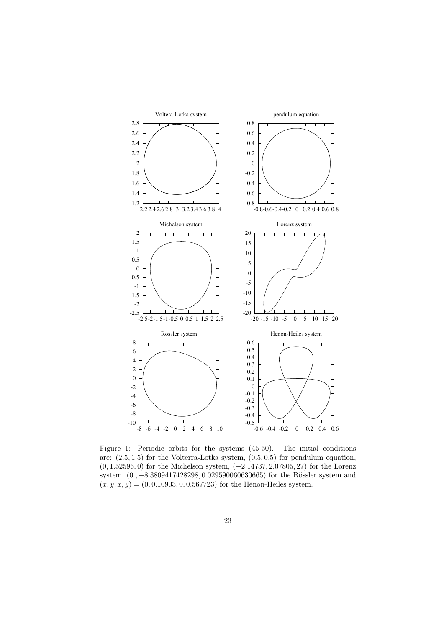

Figure 1: Periodic orbits for the systems (45-50). The initial conditions are: (2*.*5*,* 1*.*5) for the Volterra-Lotka system, (0*.*5*,* 0*.*5) for pendulum equation, (0*,* 1*.*52596*,* 0) for the Michelson system, (*−*2*.*14737*,* 2*.*07805*,* 27) for the Lorenz system,  $(0., -8.3809417428298, 0.029590060630665)$  for the Rössler system and  $(x, y, \dot{x}, \dot{y}) = (0, 0.10903, 0, 0.567723)$  for the Hénon-Heiles system.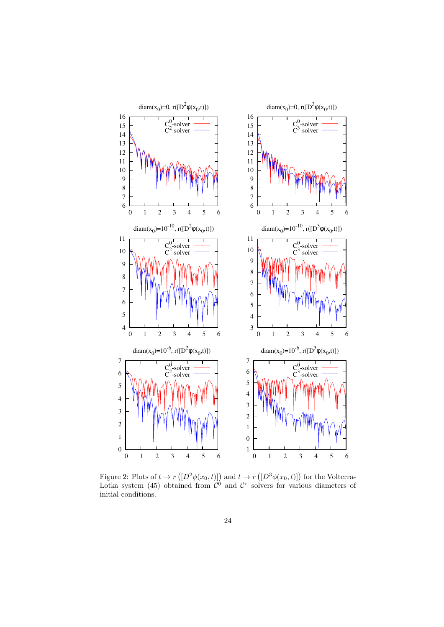

Figure 2: Plots of  $t \to r(\left[D^2\phi(x_0, t)\right])$  and  $t \to r(\left[D^3\phi(x_0, t)\right])$  for the Volterra-Lotka system (45) obtained from  $\mathcal{C}^0$  and  $\mathcal{C}^r$  solvers for various diameters of initial conditions.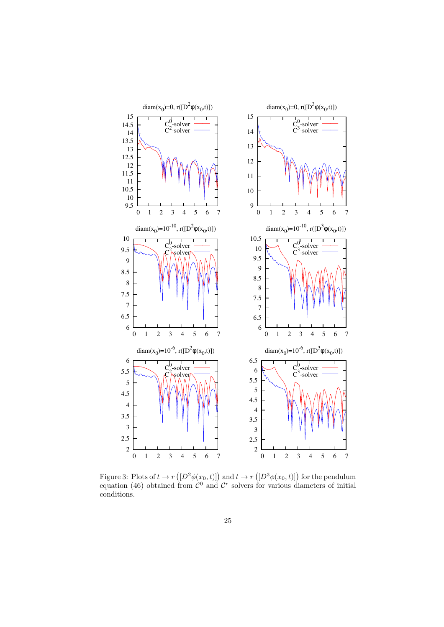

Figure 3: Plots of  $t \to r(\left[D^2\phi(x_0,t)\right])$  and  $t \to r(\left[D^3\phi(x_0,t)\right])$  for the pendulum equation (46) obtained from  $\mathcal{C}^0$  and  $\mathcal{C}^r$  solvers for various diameters of initial conditions.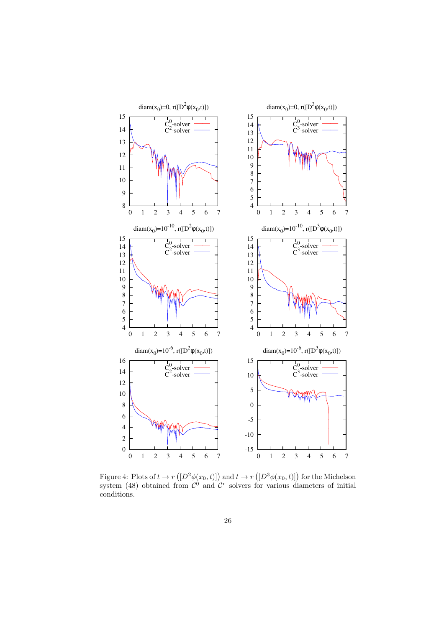

Figure 4: Plots of  $t \to r(\left[D^2\phi(x_0, t)\right])$  and  $t \to r(\left[D^3\phi(x_0, t)\right])$  for the Michelson system (48) obtained from  $\mathcal{C}^0$  and  $\mathcal{C}^r$  solvers for various diameters of initial conditions.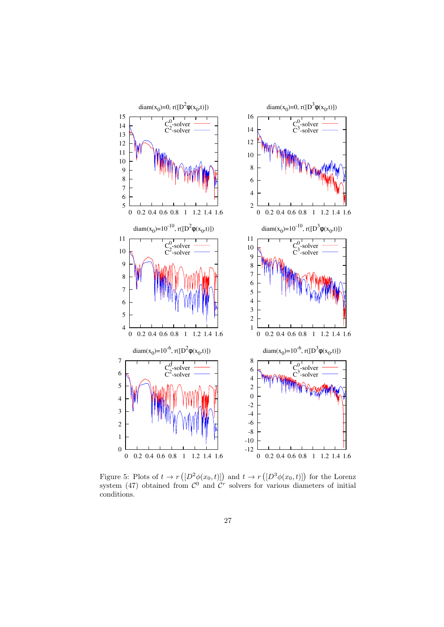

Figure 5: Plots of  $t \to r(\left[D^2\phi(x_0, t)\right])$  and  $t \to r(\left[D^3\phi(x_0, t)\right])$  for the Lorenz system (47) obtained from  $\mathcal{C}^0$  and  $\mathcal{C}^r$  solvers for various diameters of initial conditions.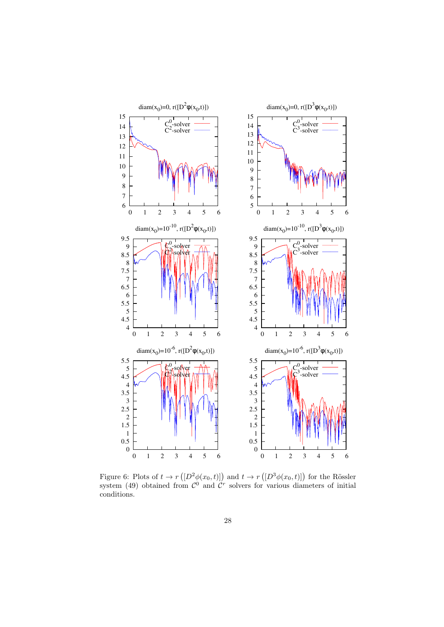

Figure 6: Plots of  $t \to r(\left[D^2\phi(x_0, t)\right])$  and  $t \to r(\left[D^3\phi(x_0, t)\right])$  for the Rössler system (49) obtained from  $\mathcal{C}^0$  and  $\mathcal{C}^r$  solvers for various diameters of initial conditions.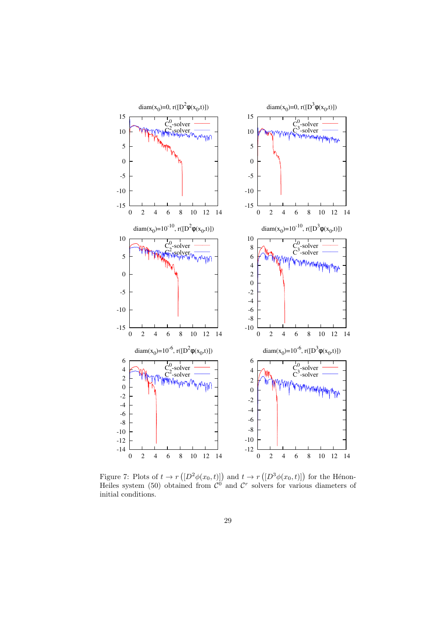

Figure 7: Plots of  $t \to r(\left[D^2\phi(x_0, t)\right])$  and  $t \to r(\left[D^3\phi(x_0, t)\right])$  for the Hénon-Heiles system (50) obtained from  $\mathcal{C}^0$  and  $\mathcal{C}^r$  solvers for various diameters of initial conditions.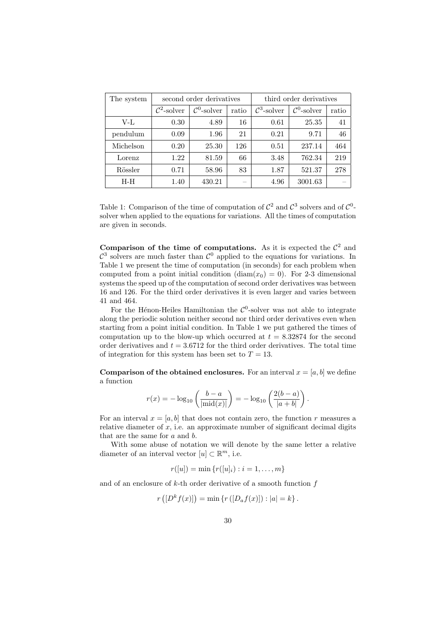| The system | second order derivatives |                         |                          | third order derivatives |                         |       |
|------------|--------------------------|-------------------------|--------------------------|-------------------------|-------------------------|-------|
|            | $\mathcal{C}^2$ -solver  | $\mathcal{C}^0$ -solver | ratio                    | $\mathcal{C}^3$ -solver | $\mathcal{C}^0$ -solver | ratio |
| $V-Ir$     | 0.30                     | 4.89                    | 16                       | 0.61                    | 25.35                   | 41    |
| pendulum   | 0.09                     | 1.96                    | 21                       | 0.21                    | 9.71                    | 46    |
| Michelson  | 0.20                     | 25.30                   | 126                      | 0.51                    | 237.14                  | 464   |
| Lorenz     | 1.22                     | 81.59                   | 66                       | 3.48                    | 762.34                  | 219   |
| Rössler    | 0.71                     | 58.96                   | 83                       | 1.87                    | 521.37                  | 278   |
| $H-H$      | 1.40                     | 430.21                  | $\overline{\phantom{a}}$ | 4.96                    | 3001.63                 |       |

Table 1: Comparison of the time of computation of  $\mathcal{C}^2$  and  $\mathcal{C}^3$  solvers and of  $\mathcal{C}^0$ solver when applied to the equations for variations. All the times of computation are given in seconds.

**Comparison of the time of computations.** As it is expected the  $\mathcal{C}^2$  and  $\mathcal{C}^3$  solvers are much faster than  $\mathcal{C}^0$  applied to the equations for variations. In Table 1 we present the time of computation (in seconds) for each problem when computed from a point initial condition (diam $(x_0) = 0$ ). For 2-3 dimensional systems the speed up of the computation of second order derivatives was between 16 and 126. For the third order derivatives it is even larger and varies between 41 and 464.

For the Hénon-Heiles Hamiltonian the  $\mathcal{C}^0$ -solver was not able to integrate along the periodic solution neither second nor third order derivatives even when starting from a point initial condition. In Table 1 we put gathered the times of computation up to the blow-up which occurred at  $t = 8.32874$  for the second order derivatives and  $t = 3.6712$  for the third order derivatives. The total time of integration for this system has been set to  $T = 13$ .

**Comparison of the obtained enclosures.** For an interval  $x = [a, b]$  we define a function

$$
r(x) = -\log_{10}\left(\frac{b-a}{|\text{mid}(x)|}\right) = -\log_{10}\left(\frac{2(b-a)}{|a+b|}\right).
$$

For an interval  $x = [a, b]$  that does not contain zero, the function  $r$  measures a relative diameter of  $x$ , i.e. an approximate number of significant decimal digits that are the same for *a* and *b*.

With some abuse of notation we will denote by the same letter a relative diameter of an interval vector  $[u] \subset \mathbb{R}^m$ , i.e.

$$
r([u]) = \min \{r([u]_i) : i = 1, \dots, m\}
$$

and of an enclosure of *k*-th order derivative of a smooth function *f*

$$
r([Dk f(x)]) = \min \{r([Da f(x)]): |a| = k\}.
$$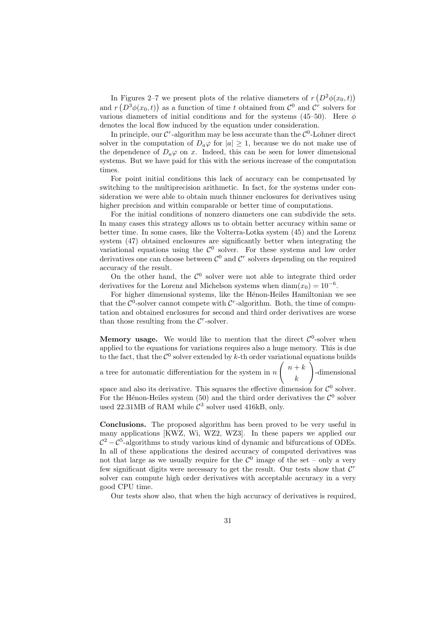In Figures 2–7 we present plots of the relative diameters of  $r(D^2\phi(x_0,t))$ and  $r(D^3\phi(x_0,t))$  as a function of time *t* obtained from  $\mathcal{C}^0$  and  $\mathcal{C}^r$  solvers for various diameters of initial conditions and for the systems  $(45-50)$ . Here  $\phi$ denotes the local flow induced by the equation under consideration.

In principle, our  $\mathcal{C}^r$ -algorithm may be less accurate than the  $\mathcal{C}^0$ -Lohner direct solver in the computation of  $D_a\varphi$  for  $|a|\geq 1$ , because we do not make use of the dependence of  $D_a\varphi$  on *x*. Indeed, this can be seen for lower dimensional systems. But we have paid for this with the serious increase of the computation times.

For point initial conditions this lack of accuracy can be compensated by switching to the multiprecision arithmetic. In fact, for the systems under consideration we were able to obtain much thinner enclosures for derivatives using higher precision and within comparable or better time of computations.

For the initial conditions of nonzero diameters one can subdivide the sets. In many cases this strategy allows us to obtain better accuracy within same or better time. In some cases, like the Volterra-Lotka system (45) and the Lorenz system (47) obtained enclosures are significantly better when integrating the variational equations using the  $\mathcal{C}^0$  solver. For these systems and low order derivatives one can choose between  $\mathcal{C}^0$  and  $\mathcal{C}^r$  solvers depending on the required accuracy of the result.

On the other hand, the  $\mathcal{C}^0$  solver were not able to integrate third order derivatives for the Lorenz and Michelson systems when  $\text{diam}(x_0) = 10^{-6}$ .

For higher dimensional systems, like the Hénon-Heiles Hamiltonian we see that the  $\mathcal{C}^0$ -solver cannot compete with  $\mathcal{C}^r$ -algorithm. Both, the time of computation and obtained enclosures for second and third order derivatives are worse than those resulting from the  $C^r$ -solver.

**Memory usage.** We would like to mention that the direct  $\mathcal{C}^0$ -solver when applied to the equations for variations requires also a huge memory. This is due to the fact, that the *C*  $\sigma$  solver extended by  $k$ -th order variational equations builds

a tree for automatic differentiation for the system in *n*  $\left( n+k\right)$ *k*  $\setminus$ -dimensional

space and also its derivative. This squares the effective dimension for  $\mathcal{C}^0$  solver. For the Hénon-Heiles system (50) and the third order derivatives the  $\mathcal{C}^0$  solver used 22.31MB of RAM while  $C^3$  solver used 416kB, only.

**Conclusions.** The proposed algorithm has been proved to be very useful in many applications [KWZ, Wi, WZ2, WZ3]. In these papers we applied our  $C^2 - C^5$ -algorithms to study various kind of dynamic and bifurcations of ODEs. In all of these applications the desired accuracy of computed derivatives was not that large as we usually require for the  $\mathcal{C}^0$  image of the set – only a very few significant digits were necessary to get the result. Our tests show that *C r* solver can compute high order derivatives with acceptable accuracy in a very good CPU time.

Our tests show also, that when the high accuracy of derivatives is required,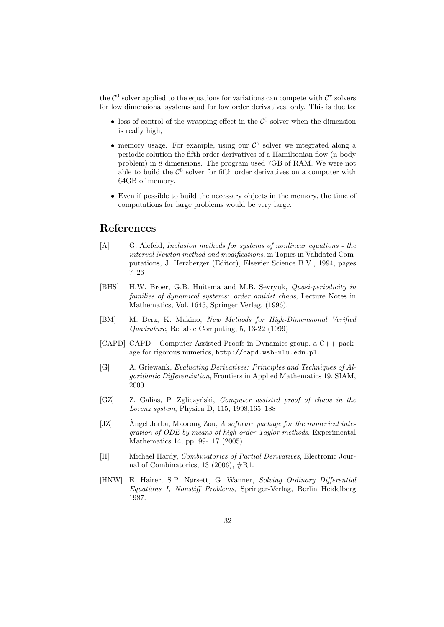the  $\mathcal{C}^0$  solver applied to the equations for variations can compete with  $\mathcal{C}^r$  solvers for low dimensional systems and for low order derivatives, only. This is due to:

- loss of control of the wrapping effect in the  $\mathcal{C}^0$  solver when the dimension is really high,
- memory usage. For example, using our  $\mathcal{C}^5$  solver we integrated along a periodic solution the fifth order derivatives of a Hamiltonian flow (n-body problem) in 8 dimensions. The program used 7GB of RAM. We were not able to build the  $\mathcal{C}^0$  solver for fifth order derivatives on a computer with 64GB of memory.
- *•* Even if possible to build the necessary objects in the memory, the time of computations for large problems would be very large.

### **References**

- [A] G. Alefeld, *Inclusion methods for systems of nonlinear equations the interval Newton method and modifications*, in Topics in Validated Computations, J. Herzberger (Editor), Elsevier Science B.V., 1994, pages 7–26
- [BHS] H.W. Broer, G.B. Huitema and M.B. Sevryuk, *Quasi-periodicity in families of dynamical systems: order amidst chaos*, Lecture Notes in Mathematics, Vol. 1645, Springer Verlag, (1996).
- [BM] M. Berz, K. Makino, *New Methods for High-Dimensional Verified Quadrature*, Reliable Computing, 5, 13-22 (1999)
- [CAPD] CAPD Computer Assisted Proofs in Dynamics group, a C++ package for rigorous numerics, http://capd.wsb-nlu.edu.pl.
- [G] A. Griewank, *Evaluating Derivatives: Principles and Techniques of Algorithmic Differentiation*, Frontiers in Applied Mathematics 19. SIAM, 2000.
- [GZ] Z. Galias, P. Zgliczyński, *Computer assisted proof of chaos in the Lorenz system*, Physica D, 115, 1998,165–188
- [JZ] Angel Jorba, Maorong Zou, A *software package for the numerical integration of ODE by means of high-order Taylor methods*, Experimental Mathematics 14, pp. 99-117 (2005).
- [H] Michael Hardy, *Combinatorics of Partial Derivatives*, Electronic Journal of Combinatorics, 13 (2006),  $\#R1$ .
- [HNW] E. Hairer, S.P. Nørsett, G. Wanner, *Solving Ordinary Differential Equations I, Nonstiff Problems*, Springer-Verlag, Berlin Heidelberg 1987.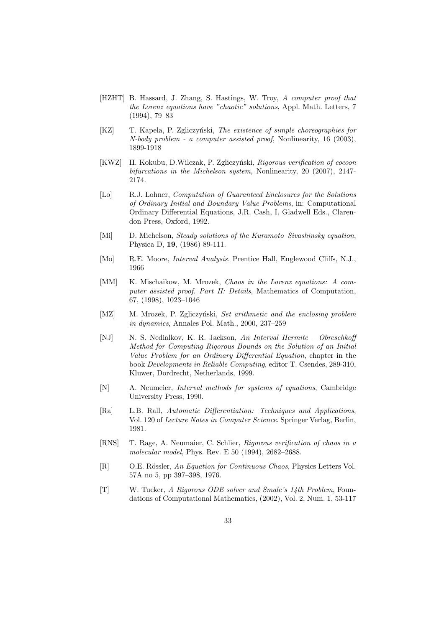- [HZHT] B. Hassard, J. Zhang, S. Hastings, W. Troy, *A computer proof that the Lorenz equations have "chaotic" solutions*, Appl. Math. Letters, 7 (1994), 79–83
- [KZ] T. Kapela, P. Zgliczyński, *The existence of simple choreographies for N-body problem - a computer assisted proof*, Nonlinearity, 16 (2003), 1899-1918
- [KWZ] H. Kokubu, D.Wilczak, P. Zgliczy´nski, *Rigorous verification of cocoon bifurcations in the Michelson system*, Nonlinearity, 20 (2007), 2147- 2174.
- [Lo] R.J. Lohner, *Computation of Guaranteed Enclosures for the Solutions of Ordinary Initial and Boundary Value Problems*, in: Computational Ordinary Differential Equations, J.R. Cash, I. Gladwell Eds., Clarendon Press, Oxford, 1992.
- [Mi] D. Michelson, *Steady solutions of the Kuramoto–Sivashinsky equation*, Physica D, **19**, (1986) 89-111.
- [Mo] R.E. Moore, *Interval Analysis.* Prentice Hall, Englewood Cliffs, N.J., 1966
- [MM] K. Mischaikow, M. Mrozek, *Chaos in the Lorenz equations: A computer assisted proof. Part II: Details*, Mathematics of Computation, 67, (1998), 1023–1046
- [MZ] M. Mrozek, P. Zgliczyński, *Set arithmetic and the enclosing problem in dynamics*, Annales Pol. Math., 2000, 237–259
- [NJ] N. S. Nedialkov, K. R. Jackson, *An Interval Hermite Obreschkoff Method for Computing Rigorous Bounds on the Solution of an Initial Value Problem for an Ordinary Differential Equation*, chapter in the book *Developments in Reliable Computing*, editor T. Csendes, 289-310, Kluwer, Dordrecht, Netherlands, 1999.
- [N] A. Neumeier, *Interval methods for systems of equations*, Cambridge University Press, 1990.
- [Ra] L.B. Rall, *Automatic Differentiation: Techniques and Applications*, Vol. 120 of *Lecture Notes in Computer Science.* Springer Verlag, Berlin, 1981.
- [RNS] T. Rage, A. Neumaier, C. Schlier, *Rigorous verification of chaos in a molecular model*, Phys. Rev. E 50 (1994), 2682–2688.
- [R] O.E. Rössler, *An Equation for Continuous Chaos*, Physics Letters Vol. 57A no 5, pp 397–398, 1976.
- [T] W. Tucker, *A Rigorous ODE solver and Smale's 14th Problem*, Foundations of Computational Mathematics, (2002), Vol. 2, Num. 1, 53-117